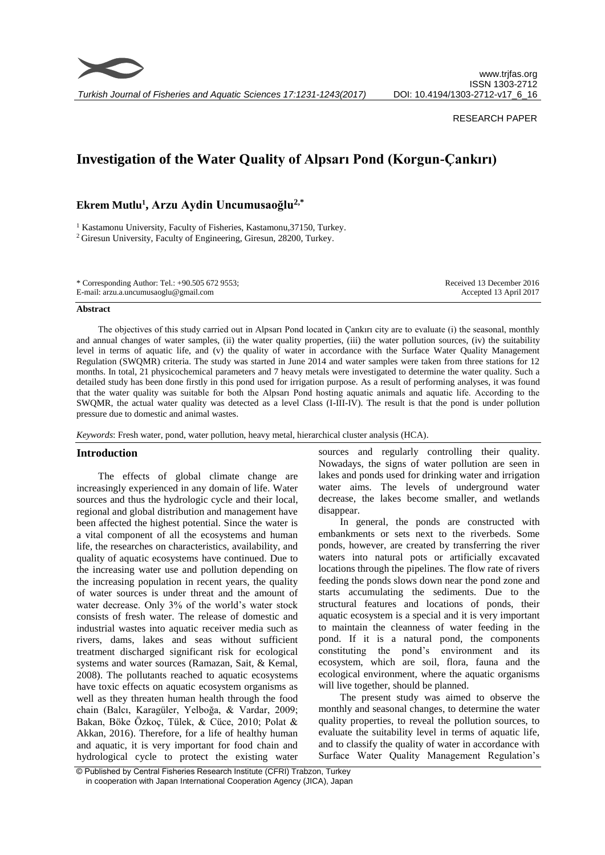

*Turkish Journal of Fisheries and Aquatic Sciences 17:1231-1243(2017)*

#### RESEARCH PAPER

# **Investigation of the Water Quality of Alpsarı Pond (Korgun-Çankırı)**

# **Ekrem Mutlu<sup>1</sup> , Arzu Aydin Uncumusaoğlu2,\***

<sup>1</sup> Kastamonu University, Faculty of Fisheries, Kastamonu, 37150, Turkey. <sup>2</sup> Giresun University, Faculty of Engineering, Giresun, 28200, Turkey.

| * Corresponding Author: Tel.: $+90.5056729553$ ; | Received 13 December 2016 |
|--------------------------------------------------|---------------------------|
| E-mail: arzu.a.uncumusaoglu@gmail.com            | Accepted 13 April 2017    |

#### **Abstract**

The objectives of this study carried out in Alpsarı Pond located in Çankırı city are to evaluate (i) the seasonal, monthly and annual changes of water samples, (ii) the water quality properties, (iii) the water pollution sources, (iv) the suitability level in terms of aquatic life, and (v) the quality of water in accordance with the Surface Water Quality Management Regulation (SWQMR) criteria. The study was started in June 2014 and water samples were taken from three stations for 12 months. In total, 21 physicochemical parameters and 7 heavy metals were investigated to determine the water quality. Such a detailed study has been done firstly in this pond used for irrigation purpose. As a result of performing analyses, it was found that the water quality was suitable for both the Alpsarı Pond hosting aquatic animals and aquatic life. According to the SWQMR, the actual water quality was detected as a level Class (I-III-IV). The result is that the pond is under pollution pressure due to domestic and animal wastes.

*Keywords*: Fresh water, pond, water pollution, heavy metal, hierarchical cluster analysis (HCA).

# **Introduction**

The effects of global climate change are increasingly experienced in any domain of life. Water sources and thus the hydrologic cycle and their local, regional and global distribution and management have been affected the highest potential. Since the water is a vital component of all the ecosystems and human life, the researches on characteristics, availability, and quality of aquatic ecosystems have continued. Due to the increasing water use and pollution depending on the increasing population in recent years, the quality of water sources is under threat and the amount of water decrease. Only 3% of the world's water stock consists of fresh water. The release of domestic and industrial wastes into aquatic receiver media such as rivers, dams, lakes and seas without sufficient treatment discharged significant risk for ecological systems and water sources (Ramazan, Sait, & Kemal, 2008). The pollutants reached to aquatic ecosystems have toxic effects on aquatic ecosystem organisms as well as they threaten human health through the food chain (Balcı, Karagüler, Yelboğa, & Vardar, 2009; Bakan, Böke Özkoç, Tülek, & Cüce, 2010; Polat & Akkan, 2016). Therefore, for a life of healthy human and aquatic, it is very important for food chain and hydrological cycle to protect the existing water

sources and regularly controlling their quality. Nowadays, the signs of water pollution are seen in lakes and ponds used for drinking water and irrigation water aims. The levels of underground water decrease, the lakes become smaller, and wetlands disappear.

In general, the ponds are constructed with embankments or sets next to the riverbeds. Some ponds, however, are created by transferring the river waters into natural pots or artificially excavated locations through the pipelines. The flow rate of rivers feeding the ponds slows down near the pond zone and starts accumulating the sediments. Due to the structural features and locations of ponds, their aquatic ecosystem is a special and it is very important to maintain the cleanness of water feeding in the pond. If it is a natural pond, the components constituting the pond's environment and its ecosystem, which are soil, flora, fauna and the ecological environment, where the aquatic organisms will live together, should be planned.

The present study was aimed to observe the monthly and seasonal changes, to determine the water quality properties, to reveal the pollution sources, to evaluate the suitability level in terms of aquatic life, and to classify the quality of water in accordance with Surface Water Quality Management Regulation's

<sup>©</sup> Published by Central Fisheries Research Institute (CFRI) Trabzon, Turkey in cooperation with Japan International Cooperation Agency (JICA), Japan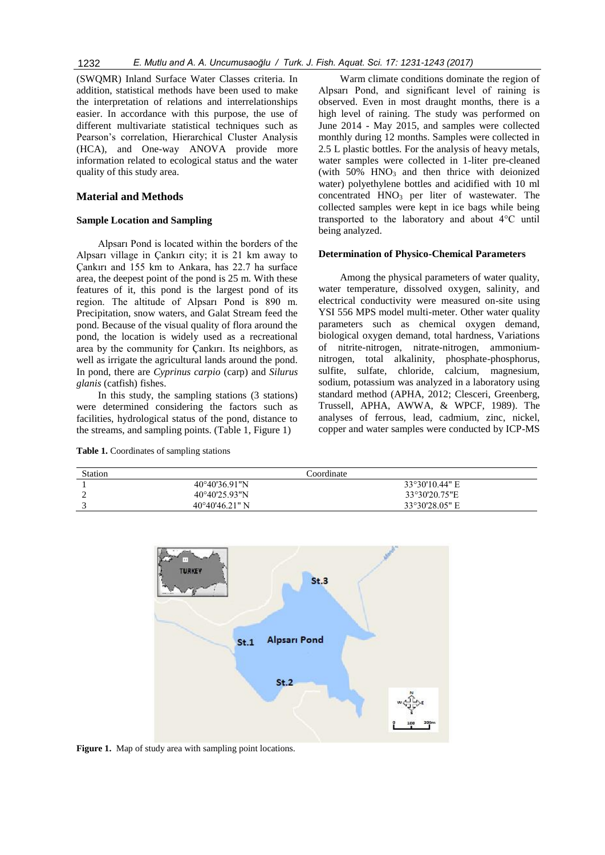1232 *E. Mutlu and A. A. Uncumusaoğlu / Turk. J. Fish. Aquat. Sci. 17: 1231-1243 (2017)*

(SWQMR) Inland Surface Water Classes criteria. In addition, statistical methods have been used to make the interpretation of relations and interrelationships easier. In accordance with this purpose, the use of different multivariate statistical techniques such as Pearson's correlation, Hierarchical Cluster Analysis (HCA), and One-way ANOVA provide more information related to ecological status and the water quality of this study area.

# **Material and Methods**

#### **Sample Location and Sampling**

Alpsarı Pond is located within the borders of the Alpsarı village in Çankırı city; it is 21 km away to Çankırı and 155 km to Ankara, has 22.7 ha surface area, the deepest point of the pond is 25 m. With these features of it, this pond is the largest pond of its region. The altitude of Alpsarı Pond is 890 m. Precipitation, snow waters, and Galat Stream feed the pond. Because of the visual quality of flora around the pond, the location is widely used as a recreational area by the community for Çankırı. Its neighbors, as well as irrigate the agricultural lands around the pond. In pond, there are *Cyprinus carpio* (carp) and *Silurus glanis* (catfish) fishes.

In this study, the sampling stations (3 stations) were determined considering the factors such as facilities, hydrological status of the pond, distance to the streams, and sampling points. (Table 1, Figure 1)

**Table 1.** Coordinates of sampling stations

Warm climate conditions dominate the region of Alpsarı Pond, and significant level of raining is observed. Even in most draught months, there is a high level of raining. The study was performed on June 2014 - May 2015, and samples were collected monthly during 12 months. Samples were collected in 2.5 L plastic bottles. For the analysis of heavy metals, water samples were collected in 1-liter pre-cleaned (with 50% HNO<sub>3</sub> and then thrice with deionized water) polyethylene bottles and acidified with 10 ml concentrated HNO<sub>3</sub> per liter of wastewater. The collected samples were kept in ice bags while being transported to the laboratory and about 4°C until being analyzed.

#### **Determination of Physico-Chemical Parameters**

Among the physical parameters of water quality, water temperature, dissolved oxygen, salinity, and electrical conductivity were measured on-site using YSI 556 MPS model multi-meter. Other water quality parameters such as chemical oxygen demand, biological oxygen demand, total hardness, Variations of nitrite-nitrogen, nitrate-nitrogen, ammoniumnitrogen, total alkalinity, phosphate-phosphorus, sulfite, sulfate, chloride, calcium, magnesium, sodium, potassium was analyzed in a laboratory using standard method (APHA, 2012; Clesceri, Greenberg, Trussell, APHA, AWWA, & WPCF, 1989). The analyses of ferrous, lead, cadmium, zinc, nickel, copper and water samples were conducted by ICP-MS

| Station |                         | <b>Coordinate</b> |
|---------|-------------------------|-------------------|
|         | $40^{\circ}40'36.91''N$ | 33°30'10.44" E    |
|         | $40^{\circ}40'25.93"N$  | 33°30'20.75"E     |
|         | $40^{\circ}40'46.21"$ N | 33°30'28.05" E    |



Figure 1. Map of study area with sampling point locations.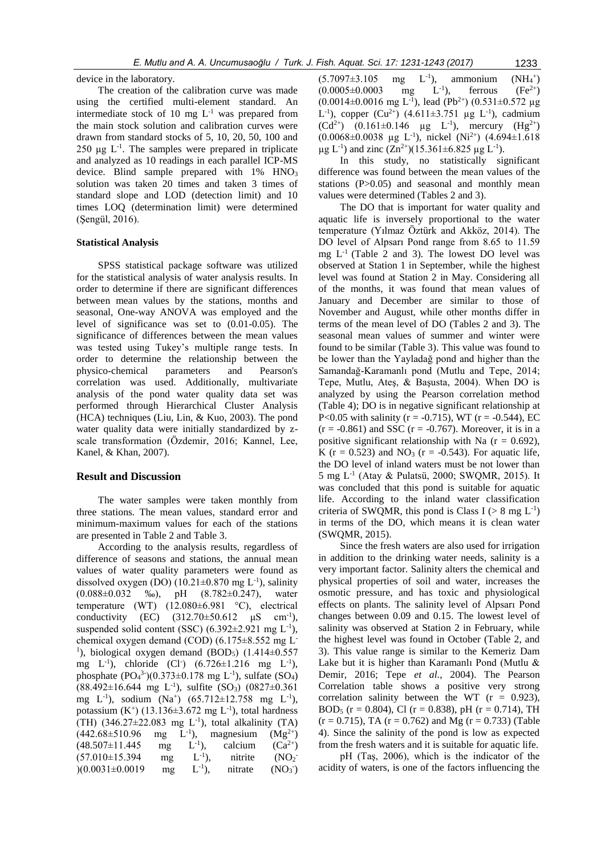device in the laboratory.

The creation of the calibration curve was made using the certified multi-element standard. An intermediate stock of 10 mg  $L^{-1}$  was prepared from the main stock solution and calibration curves were drawn from standard stocks of 5, 10, 20, 50, 100 and  $250 \mu g$  L<sup>-1</sup>. The samples were prepared in triplicate and analyzed as 10 readings in each parallel ICP-MS device. Blind sample prepared with 1% HNO<sub>3</sub> solution was taken 20 times and taken 3 times of standard slope and LOD (detection limit) and 10 times LOQ (determination limit) were determined (Şengül, 2016).

# **Statistical Analysis**

SPSS statistical package software was utilized for the statistical analysis of water analysis results. In order to determine if there are significant differences between mean values by the stations, months and seasonal, One-way ANOVA was employed and the level of significance was set to (0.01-0.05). The significance of differences between the mean values was tested using Tukey's multiple range tests. In order to determine the relationship between the physico-chemical parameters and Pearson's correlation was used. Additionally, multivariate analysis of the pond water quality data set was performed through Hierarchical Cluster Analysis (HCA) techniques (Liu, Lin, & Kuo, 2003). The pond water quality data were initially standardized by zscale transformation (Özdemir, 2016; Kannel, Lee, Kanel, & Khan, 2007).

#### **Result and Discussion**

The water samples were taken monthly from three stations. The mean values, standard error and minimum-maximum values for each of the stations are presented in Table 2 and Table 3.

According to the analysis results, regardless of difference of seasons and stations, the annual mean values of water quality parameters were found as dissolved oxygen (DO)  $(10.21 \pm 0.870 \text{ mg L}^{-1})$ , salinity (0.088±0.032 ‰), pH (8.782±0.247), water temperature (WT) (12.080±6.981 °C), electrical conductivity (EC)  $(312.70 \pm 50.612 \mu S \ cm^{-1}),$ suspended solid content (SSC)  $(6.392 \pm 2.921 \text{ mg L}^{-1})$ , chemical oxygen demand (COD) (6.175±8.552 mg L-<sup>1</sup>), biological oxygen demand (BOD<sub>5</sub>)  $(1.414\pm0.557$ mg  $L^{-1}$ ), chloride (Cl<sup>-</sup>) (6.726±1.216 mg  $L^{-1}$ ), phosphate  $(PO_4^3)$  $(0.373 \pm 0.178 \text{ mg } L^{-1})$ , sulfate  $(SO_4)$  $(88.492 \pm 16.644 \text{ mg } L^{-1})$ , sulfite  $(SO_3)$   $(0827 \pm 0.361$ mg L<sup>-1</sup>), sodium (Na<sup>+</sup>) (65.712±12.758 mg L<sup>-1</sup>), potassium  $(K^+)$  (13.136 $\pm$ 3.672 mg L<sup>-1</sup>), total hardness (TH)  $(346.27 \pm 22.083$  mg L<sup>-1</sup>), total alkalinity (TA)  $(442.68\pm510.96$  mg L<sup>-1</sup>),<br>(48.507±11.445 mg L<sup>-1</sup>),  $\rm(L^{-1})$ , magnesium  $(Mg^{2+})$  $(48.507\pm11.445$  mg L<sup>-1</sup>),<br>(57.010±15.394 mg L<sup>-1</sup>), calcium  $(Ca^{2+})$  $(57.010\pm15.394$  mg nitrite  $(NO<sub>2</sub>)$  $)(0.0031 \pm 0.0019$  mg L<sup>-1</sup>), nitrate - )  $(5.7097 \pm 3.105 \text{ mg } L^{-1}),$ ammonium  $\left( +\right)$  $(0.0005 \pm 0.0003$  mg L<sup>-1</sup>), ferrous  $(Fe^{2+})$  $(0.0014 \pm 0.0016 \text{ mg L}^{-1})$ , lead  $(Pb^{2+})$   $(0.531 \pm 0.572 \text{ µg})$ L<sup>-1</sup>), copper  $(Cu^{2+})$  (4.611 $\pm$ 3.751 µg L<sup>-1</sup>), cadmium  $(Cd^{2+})$   $(0.161 \pm 0.146 \text{ µg} L^{-1})$ , mercury  $(Hg^{2+})$  $(0.0068 \pm 0.0038 \text{ µg L}^{-1})$ , nickel  $(Ni^{2+})$   $(4.694 \pm 1.618 \text{ m})$  $\mu$ g L<sup>-1</sup>) and zinc (Zn<sup>2+</sup>)(15.361±6.825  $\mu$ g L<sup>-1</sup>).

In this study, no statistically significant difference was found between the mean values of the stations (P>0.05) and seasonal and monthly mean values were determined (Tables 2 and 3).

The DO that is important for water quality and aquatic life is inversely proportional to the water temperature (Yılmaz Öztürk and Akköz, 2014). The DO level of Alpsarı Pond range from 8.65 to 11.59 mg  $L^{-1}$  (Table 2 and 3). The lowest DO level was observed at Station 1 in September, while the highest level was found at Station 2 in May. Considering all of the months, it was found that mean values of January and December are similar to those of November and August, while other months differ in terms of the mean level of DO (Tables 2 and 3). The seasonal mean values of summer and winter were found to be similar (Table 3). This value was found to be lower than the Yayladağ pond and higher than the Samandağ-Karamanlı pond (Mutlu and Tepe, 2014; Tepe, Mutlu, Ateş, & Başusta, 2004). When DO is analyzed by using the Pearson correlation method (Table 4); DO is in negative significant relationship at P<0.05 with salinity ( $r = -0.715$ ), WT ( $r = -0.544$ ), EC  $(r = -0.861)$  and SSC  $(r = -0.767)$ . Moreover, it is in a positive significant relationship with Na  $(r = 0.692)$ , K ( $r = 0.523$ ) and NO<sub>3</sub> ( $r = -0.543$ ). For aquatic life, the DO level of inland waters must be not lower than 5 mg L-1 (Atay & Pulatsü, 2000; SWQMR, 2015). It was concluded that this pond is suitable for aquatic life. According to the inland water classification criteria of SWQMR, this pond is Class I ( $> 8$  mg L<sup>-1</sup>) in terms of the DO, which means it is clean water (SWQMR, 2015).

Since the fresh waters are also used for irrigation in addition to the drinking water needs, salinity is a very important factor. Salinity alters the chemical and physical properties of soil and water, increases the osmotic pressure, and has toxic and physiological effects on plants. The salinity level of Alpsarı Pond changes between 0.09 and 0.15. The lowest level of salinity was observed at Station 2 in February, while the highest level was found in October (Table 2, and 3). This value range is similar to the Kemeriz Dam Lake but it is higher than Karamanlı Pond (Mutlu & Demir, 2016; Tepe *et al.*, 2004). The Pearson Correlation table shows a positive very strong correlation salinity between the WT  $(r = 0.923)$ , BOD<sub>5</sub> (r = 0.804), Cl (r = 0.838), pH (r = 0.714), TH  $(r = 0.715)$ , TA  $(r = 0.762)$  and Mg  $(r = 0.733)$  (Table 4). Since the salinity of the pond is low as expected from the fresh waters and it is suitable for aquatic life.

pH (Taş, 2006), which is the indicator of the acidity of waters, is one of the factors influencing the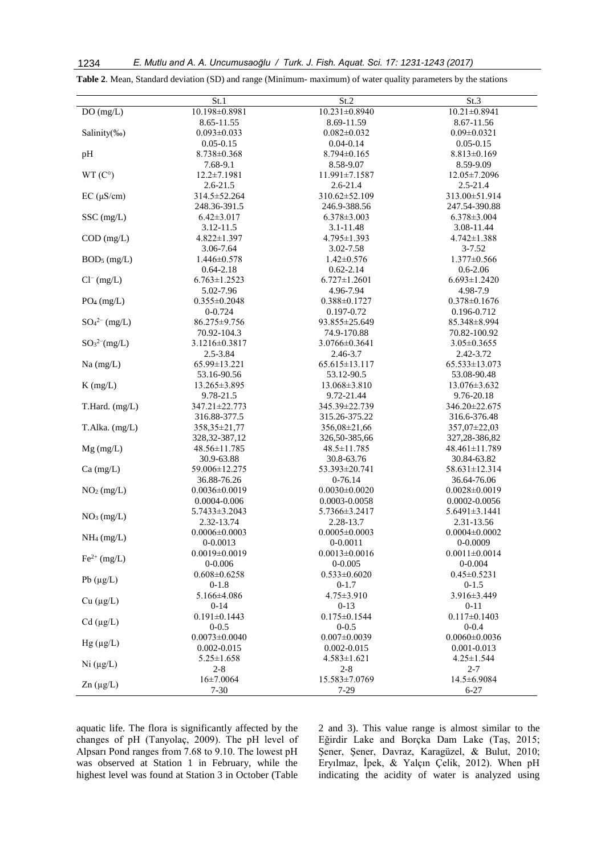| DO(mg/L)<br>10.198±0.8981<br>10.231±0.8940<br>$10.21 \pm 0.8941$<br>8.65-11.55<br>8.69-11.59<br>8.67-11.56<br>Salinity(%o)<br>$0.093 \pm 0.033$<br>$0.082 \pm 0.032$<br>$0.09 \pm 0.0321$<br>$0.05 - 0.15$<br>$0.04 - 0.14$<br>$0.05 - 0.15$<br>pH<br>$8.738 \pm 0.368$<br>$8.794 \pm 0.165$<br>$8.813 \pm 0.169$<br>7.68-9.1<br>8.58-9.07<br>8.59-9.09<br>$WT(C^{\circ})$<br>$12.2 \pm 7.1981$<br>11.991±7.1587<br>12.05±7.2096<br>$2.6 - 21.5$<br>$2.6 - 21.4$<br>$2.5 - 21.4$<br>$EC (\mu S/cm)$<br>314.5±52.264<br>310.62±52.109<br>313.00 ± 51.914<br>248.36-391.5<br>246.9-388.56<br>247.54-390.88<br>SSC (mg/L)<br>$6.42 \pm 3.017$<br>$6.378 \pm 3.003$<br>$6.378 \pm 3.004$<br>3.12-11.5<br>3.1-11.48<br>3.08-11.44<br>$COD$ (mg/L)<br>$4.822 \pm 1.397$<br>4.795±1.393<br>4.742±1.388<br>3.06-7.64<br>3.02-7.58<br>$3 - 7.52$<br>BOD <sub>5</sub> (mg/L)<br>$1.446 \pm 0.578$<br>$1.42 \pm 0.576$<br>$1.377 \pm 0.566$<br>$0.64 - 2.18$<br>$0.62 - 2.14$<br>$0.6 - 2.06$<br>$Cl^{-} (mg/L)$<br>$6.763 \pm 1.2523$<br>$6.727 \pm 1.2601$<br>$6.693 \pm 1.2420$<br>4.98-7.9<br>5.02-7.96<br>4.96-7.94<br>$PO_4$ (mg/L)<br>$0.378 \pm 0.1676$<br>$0.355 \pm 0.2048$<br>$0.388 \pm 0.1727$<br>0-0.724<br>0.197-0.72<br>0.196-0.712<br>$SO_4^{2-}$ (mg/L)<br>86.275±9.756<br>93.855±25.649<br>85.348±8.994<br>70.92-104.3<br>74.9-170.88<br>70.82-100.92<br>SO <sub>3</sub> <sup>2</sup> (mg/L)<br>3.1216±0.3817<br>3.0766±0.3641<br>$3.05 \pm 0.3655$<br>2.5-3.84<br>2.46-3.7<br>2.42-3.72<br>65.615±13.117<br>Na (mg/L)<br>65.99±13.221<br>65.533±13.073<br>53.16-90.56<br>53.12-90.5<br>53.08-90.48<br>$K$ (mg/L)<br>13.265±3.895<br>$13.068 \pm 3.810$<br>$13.076 \pm 3.632$<br>9.76-20.18<br>9.78-21.5<br>9.72-21.44<br>T.Hard. (mg/L)<br>347.21±22.773<br>345.39±22.739<br>346.20±22.675<br>316.88-377.5<br>315.26-375.22<br>316.6-376.48<br>T.Alka. (mg/L)<br>358,35±21,77<br>356,08±21,66<br>357,07±22,03<br>328, 32-387, 12<br>326,50-385,66<br>327, 28-386, 82<br>$Mg$ (mg/L)<br>48.56±11.785<br>48.5±11.785<br>48.461±11.789<br>30.9-63.88<br>30.8-63.76<br>30.84-63.82<br>Ca (mg/L)<br>59.006±12.275<br>53.393±20.741<br>58.631±12.314<br>36.88-76.26<br>$0-76.14$<br>36.64-76.06<br>NO <sub>2</sub> (mg/L)<br>$0.0036 \pm 0.0019$<br>$0.0030\pm0.0020$<br>$0.0028 \pm 0.0019$<br>0.0003-0.0058<br>0.0002-0.0056<br>0.0004-0.006<br>5.7433±3.2043<br>5.7366±3.2417<br>$5.6491 \pm 3.1441$<br>NO <sub>3</sub> (mg/L)<br>2.32-13.74<br>2.28-13.7<br>2.31-13.56<br>$0.0006 \pm 0.0003$<br>$0.0005 \pm 0.0003$<br>$0.0004 \pm 0.0002$<br>$NH_4$ (mg/L)<br>$0 - 0.0009$<br>0-0.0013<br>$0 - 0.0011$<br>$0.0019 \pm 0.0019$<br>$0.0013 \pm 0.0016$<br>$0.0011 \pm 0.0014$<br>$Fe2+ (mg/L)$<br>$0 - 0.006$<br>$0 - 0.005$<br>$0 - 0.004$<br>$0.608 \pm 0.6258$<br>$0.533 \pm 0.6020$<br>$0.45 \pm 0.5231$<br>Pb $(\mu g/L)$<br>$0-1.8$<br>$0-1.7$<br>$0-1.5$<br>5.166±4.086<br>$4.75 \pm 3.910$<br>3.916±3.449<br>Cu (µg/L)<br>$0-14$<br>$0 - 13$<br>$0 - 11$<br>$0.191 \pm 0.1443$<br>$0.175 \pm 0.1544$<br>$0.117 \pm 0.1403$<br>$Cd$ ( $\mu g/L$ )<br>$0 - 0.5$<br>$0 - 0.5$<br>$0 - 0.4$<br>$0.0073 \pm 0.0040$<br>$0.007 \pm 0.0039$<br>$0.0060 \pm 0.0036$<br>$Hg(\mu g/L)$<br>$0.002 - 0.015$<br>$0.002 - 0.015$<br>$0.001 - 0.013$<br>$5.25 \pm 1.658$<br>$4.583 \pm 1.621$<br>$4.25 \pm 1.544$<br>Ni (µg/L)<br>$2 - 8$<br>$2 - 8$<br>$2 - 7$<br>$16 \pm 7.0064$<br>15.583±7.0769<br>14.5±6.9084<br>$Zn (\mu g/L)$<br>$7 - 30$<br>$7-29$<br>$6 - 27$ | St.1 | $\overline{\text{St.2}}$ | St.3 |
|------------------------------------------------------------------------------------------------------------------------------------------------------------------------------------------------------------------------------------------------------------------------------------------------------------------------------------------------------------------------------------------------------------------------------------------------------------------------------------------------------------------------------------------------------------------------------------------------------------------------------------------------------------------------------------------------------------------------------------------------------------------------------------------------------------------------------------------------------------------------------------------------------------------------------------------------------------------------------------------------------------------------------------------------------------------------------------------------------------------------------------------------------------------------------------------------------------------------------------------------------------------------------------------------------------------------------------------------------------------------------------------------------------------------------------------------------------------------------------------------------------------------------------------------------------------------------------------------------------------------------------------------------------------------------------------------------------------------------------------------------------------------------------------------------------------------------------------------------------------------------------------------------------------------------------------------------------------------------------------------------------------------------------------------------------------------------------------------------------------------------------------------------------------------------------------------------------------------------------------------------------------------------------------------------------------------------------------------------------------------------------------------------------------------------------------------------------------------------------------------------------------------------------------------------------------------------------------------------------------------------------------------------------------------------------------------------------------------------------------------------------------------------------------------------------------------------------------------------------------------------------------------------------------------------------------------------------------------------------------------------------------------------------------------------------------------------------------------------------------------------------------------------------------------------------------------------------------------------------------------------------------------------------------------------------------------------------------------------------------------------------------------------------------------------------------------------------------------|------|--------------------------|------|
|                                                                                                                                                                                                                                                                                                                                                                                                                                                                                                                                                                                                                                                                                                                                                                                                                                                                                                                                                                                                                                                                                                                                                                                                                                                                                                                                                                                                                                                                                                                                                                                                                                                                                                                                                                                                                                                                                                                                                                                                                                                                                                                                                                                                                                                                                                                                                                                                                                                                                                                                                                                                                                                                                                                                                                                                                                                                                                                                                                                                                                                                                                                                                                                                                                                                                                                                                                                                                                                                        |      |                          |      |
|                                                                                                                                                                                                                                                                                                                                                                                                                                                                                                                                                                                                                                                                                                                                                                                                                                                                                                                                                                                                                                                                                                                                                                                                                                                                                                                                                                                                                                                                                                                                                                                                                                                                                                                                                                                                                                                                                                                                                                                                                                                                                                                                                                                                                                                                                                                                                                                                                                                                                                                                                                                                                                                                                                                                                                                                                                                                                                                                                                                                                                                                                                                                                                                                                                                                                                                                                                                                                                                                        |      |                          |      |
|                                                                                                                                                                                                                                                                                                                                                                                                                                                                                                                                                                                                                                                                                                                                                                                                                                                                                                                                                                                                                                                                                                                                                                                                                                                                                                                                                                                                                                                                                                                                                                                                                                                                                                                                                                                                                                                                                                                                                                                                                                                                                                                                                                                                                                                                                                                                                                                                                                                                                                                                                                                                                                                                                                                                                                                                                                                                                                                                                                                                                                                                                                                                                                                                                                                                                                                                                                                                                                                                        |      |                          |      |
|                                                                                                                                                                                                                                                                                                                                                                                                                                                                                                                                                                                                                                                                                                                                                                                                                                                                                                                                                                                                                                                                                                                                                                                                                                                                                                                                                                                                                                                                                                                                                                                                                                                                                                                                                                                                                                                                                                                                                                                                                                                                                                                                                                                                                                                                                                                                                                                                                                                                                                                                                                                                                                                                                                                                                                                                                                                                                                                                                                                                                                                                                                                                                                                                                                                                                                                                                                                                                                                                        |      |                          |      |
|                                                                                                                                                                                                                                                                                                                                                                                                                                                                                                                                                                                                                                                                                                                                                                                                                                                                                                                                                                                                                                                                                                                                                                                                                                                                                                                                                                                                                                                                                                                                                                                                                                                                                                                                                                                                                                                                                                                                                                                                                                                                                                                                                                                                                                                                                                                                                                                                                                                                                                                                                                                                                                                                                                                                                                                                                                                                                                                                                                                                                                                                                                                                                                                                                                                                                                                                                                                                                                                                        |      |                          |      |
|                                                                                                                                                                                                                                                                                                                                                                                                                                                                                                                                                                                                                                                                                                                                                                                                                                                                                                                                                                                                                                                                                                                                                                                                                                                                                                                                                                                                                                                                                                                                                                                                                                                                                                                                                                                                                                                                                                                                                                                                                                                                                                                                                                                                                                                                                                                                                                                                                                                                                                                                                                                                                                                                                                                                                                                                                                                                                                                                                                                                                                                                                                                                                                                                                                                                                                                                                                                                                                                                        |      |                          |      |
|                                                                                                                                                                                                                                                                                                                                                                                                                                                                                                                                                                                                                                                                                                                                                                                                                                                                                                                                                                                                                                                                                                                                                                                                                                                                                                                                                                                                                                                                                                                                                                                                                                                                                                                                                                                                                                                                                                                                                                                                                                                                                                                                                                                                                                                                                                                                                                                                                                                                                                                                                                                                                                                                                                                                                                                                                                                                                                                                                                                                                                                                                                                                                                                                                                                                                                                                                                                                                                                                        |      |                          |      |
|                                                                                                                                                                                                                                                                                                                                                                                                                                                                                                                                                                                                                                                                                                                                                                                                                                                                                                                                                                                                                                                                                                                                                                                                                                                                                                                                                                                                                                                                                                                                                                                                                                                                                                                                                                                                                                                                                                                                                                                                                                                                                                                                                                                                                                                                                                                                                                                                                                                                                                                                                                                                                                                                                                                                                                                                                                                                                                                                                                                                                                                                                                                                                                                                                                                                                                                                                                                                                                                                        |      |                          |      |
|                                                                                                                                                                                                                                                                                                                                                                                                                                                                                                                                                                                                                                                                                                                                                                                                                                                                                                                                                                                                                                                                                                                                                                                                                                                                                                                                                                                                                                                                                                                                                                                                                                                                                                                                                                                                                                                                                                                                                                                                                                                                                                                                                                                                                                                                                                                                                                                                                                                                                                                                                                                                                                                                                                                                                                                                                                                                                                                                                                                                                                                                                                                                                                                                                                                                                                                                                                                                                                                                        |      |                          |      |
|                                                                                                                                                                                                                                                                                                                                                                                                                                                                                                                                                                                                                                                                                                                                                                                                                                                                                                                                                                                                                                                                                                                                                                                                                                                                                                                                                                                                                                                                                                                                                                                                                                                                                                                                                                                                                                                                                                                                                                                                                                                                                                                                                                                                                                                                                                                                                                                                                                                                                                                                                                                                                                                                                                                                                                                                                                                                                                                                                                                                                                                                                                                                                                                                                                                                                                                                                                                                                                                                        |      |                          |      |
|                                                                                                                                                                                                                                                                                                                                                                                                                                                                                                                                                                                                                                                                                                                                                                                                                                                                                                                                                                                                                                                                                                                                                                                                                                                                                                                                                                                                                                                                                                                                                                                                                                                                                                                                                                                                                                                                                                                                                                                                                                                                                                                                                                                                                                                                                                                                                                                                                                                                                                                                                                                                                                                                                                                                                                                                                                                                                                                                                                                                                                                                                                                                                                                                                                                                                                                                                                                                                                                                        |      |                          |      |
|                                                                                                                                                                                                                                                                                                                                                                                                                                                                                                                                                                                                                                                                                                                                                                                                                                                                                                                                                                                                                                                                                                                                                                                                                                                                                                                                                                                                                                                                                                                                                                                                                                                                                                                                                                                                                                                                                                                                                                                                                                                                                                                                                                                                                                                                                                                                                                                                                                                                                                                                                                                                                                                                                                                                                                                                                                                                                                                                                                                                                                                                                                                                                                                                                                                                                                                                                                                                                                                                        |      |                          |      |
|                                                                                                                                                                                                                                                                                                                                                                                                                                                                                                                                                                                                                                                                                                                                                                                                                                                                                                                                                                                                                                                                                                                                                                                                                                                                                                                                                                                                                                                                                                                                                                                                                                                                                                                                                                                                                                                                                                                                                                                                                                                                                                                                                                                                                                                                                                                                                                                                                                                                                                                                                                                                                                                                                                                                                                                                                                                                                                                                                                                                                                                                                                                                                                                                                                                                                                                                                                                                                                                                        |      |                          |      |
|                                                                                                                                                                                                                                                                                                                                                                                                                                                                                                                                                                                                                                                                                                                                                                                                                                                                                                                                                                                                                                                                                                                                                                                                                                                                                                                                                                                                                                                                                                                                                                                                                                                                                                                                                                                                                                                                                                                                                                                                                                                                                                                                                                                                                                                                                                                                                                                                                                                                                                                                                                                                                                                                                                                                                                                                                                                                                                                                                                                                                                                                                                                                                                                                                                                                                                                                                                                                                                                                        |      |                          |      |
|                                                                                                                                                                                                                                                                                                                                                                                                                                                                                                                                                                                                                                                                                                                                                                                                                                                                                                                                                                                                                                                                                                                                                                                                                                                                                                                                                                                                                                                                                                                                                                                                                                                                                                                                                                                                                                                                                                                                                                                                                                                                                                                                                                                                                                                                                                                                                                                                                                                                                                                                                                                                                                                                                                                                                                                                                                                                                                                                                                                                                                                                                                                                                                                                                                                                                                                                                                                                                                                                        |      |                          |      |
|                                                                                                                                                                                                                                                                                                                                                                                                                                                                                                                                                                                                                                                                                                                                                                                                                                                                                                                                                                                                                                                                                                                                                                                                                                                                                                                                                                                                                                                                                                                                                                                                                                                                                                                                                                                                                                                                                                                                                                                                                                                                                                                                                                                                                                                                                                                                                                                                                                                                                                                                                                                                                                                                                                                                                                                                                                                                                                                                                                                                                                                                                                                                                                                                                                                                                                                                                                                                                                                                        |      |                          |      |
|                                                                                                                                                                                                                                                                                                                                                                                                                                                                                                                                                                                                                                                                                                                                                                                                                                                                                                                                                                                                                                                                                                                                                                                                                                                                                                                                                                                                                                                                                                                                                                                                                                                                                                                                                                                                                                                                                                                                                                                                                                                                                                                                                                                                                                                                                                                                                                                                                                                                                                                                                                                                                                                                                                                                                                                                                                                                                                                                                                                                                                                                                                                                                                                                                                                                                                                                                                                                                                                                        |      |                          |      |
|                                                                                                                                                                                                                                                                                                                                                                                                                                                                                                                                                                                                                                                                                                                                                                                                                                                                                                                                                                                                                                                                                                                                                                                                                                                                                                                                                                                                                                                                                                                                                                                                                                                                                                                                                                                                                                                                                                                                                                                                                                                                                                                                                                                                                                                                                                                                                                                                                                                                                                                                                                                                                                                                                                                                                                                                                                                                                                                                                                                                                                                                                                                                                                                                                                                                                                                                                                                                                                                                        |      |                          |      |
|                                                                                                                                                                                                                                                                                                                                                                                                                                                                                                                                                                                                                                                                                                                                                                                                                                                                                                                                                                                                                                                                                                                                                                                                                                                                                                                                                                                                                                                                                                                                                                                                                                                                                                                                                                                                                                                                                                                                                                                                                                                                                                                                                                                                                                                                                                                                                                                                                                                                                                                                                                                                                                                                                                                                                                                                                                                                                                                                                                                                                                                                                                                                                                                                                                                                                                                                                                                                                                                                        |      |                          |      |
|                                                                                                                                                                                                                                                                                                                                                                                                                                                                                                                                                                                                                                                                                                                                                                                                                                                                                                                                                                                                                                                                                                                                                                                                                                                                                                                                                                                                                                                                                                                                                                                                                                                                                                                                                                                                                                                                                                                                                                                                                                                                                                                                                                                                                                                                                                                                                                                                                                                                                                                                                                                                                                                                                                                                                                                                                                                                                                                                                                                                                                                                                                                                                                                                                                                                                                                                                                                                                                                                        |      |                          |      |
|                                                                                                                                                                                                                                                                                                                                                                                                                                                                                                                                                                                                                                                                                                                                                                                                                                                                                                                                                                                                                                                                                                                                                                                                                                                                                                                                                                                                                                                                                                                                                                                                                                                                                                                                                                                                                                                                                                                                                                                                                                                                                                                                                                                                                                                                                                                                                                                                                                                                                                                                                                                                                                                                                                                                                                                                                                                                                                                                                                                                                                                                                                                                                                                                                                                                                                                                                                                                                                                                        |      |                          |      |
|                                                                                                                                                                                                                                                                                                                                                                                                                                                                                                                                                                                                                                                                                                                                                                                                                                                                                                                                                                                                                                                                                                                                                                                                                                                                                                                                                                                                                                                                                                                                                                                                                                                                                                                                                                                                                                                                                                                                                                                                                                                                                                                                                                                                                                                                                                                                                                                                                                                                                                                                                                                                                                                                                                                                                                                                                                                                                                                                                                                                                                                                                                                                                                                                                                                                                                                                                                                                                                                                        |      |                          |      |
|                                                                                                                                                                                                                                                                                                                                                                                                                                                                                                                                                                                                                                                                                                                                                                                                                                                                                                                                                                                                                                                                                                                                                                                                                                                                                                                                                                                                                                                                                                                                                                                                                                                                                                                                                                                                                                                                                                                                                                                                                                                                                                                                                                                                                                                                                                                                                                                                                                                                                                                                                                                                                                                                                                                                                                                                                                                                                                                                                                                                                                                                                                                                                                                                                                                                                                                                                                                                                                                                        |      |                          |      |
|                                                                                                                                                                                                                                                                                                                                                                                                                                                                                                                                                                                                                                                                                                                                                                                                                                                                                                                                                                                                                                                                                                                                                                                                                                                                                                                                                                                                                                                                                                                                                                                                                                                                                                                                                                                                                                                                                                                                                                                                                                                                                                                                                                                                                                                                                                                                                                                                                                                                                                                                                                                                                                                                                                                                                                                                                                                                                                                                                                                                                                                                                                                                                                                                                                                                                                                                                                                                                                                                        |      |                          |      |
|                                                                                                                                                                                                                                                                                                                                                                                                                                                                                                                                                                                                                                                                                                                                                                                                                                                                                                                                                                                                                                                                                                                                                                                                                                                                                                                                                                                                                                                                                                                                                                                                                                                                                                                                                                                                                                                                                                                                                                                                                                                                                                                                                                                                                                                                                                                                                                                                                                                                                                                                                                                                                                                                                                                                                                                                                                                                                                                                                                                                                                                                                                                                                                                                                                                                                                                                                                                                                                                                        |      |                          |      |
|                                                                                                                                                                                                                                                                                                                                                                                                                                                                                                                                                                                                                                                                                                                                                                                                                                                                                                                                                                                                                                                                                                                                                                                                                                                                                                                                                                                                                                                                                                                                                                                                                                                                                                                                                                                                                                                                                                                                                                                                                                                                                                                                                                                                                                                                                                                                                                                                                                                                                                                                                                                                                                                                                                                                                                                                                                                                                                                                                                                                                                                                                                                                                                                                                                                                                                                                                                                                                                                                        |      |                          |      |
|                                                                                                                                                                                                                                                                                                                                                                                                                                                                                                                                                                                                                                                                                                                                                                                                                                                                                                                                                                                                                                                                                                                                                                                                                                                                                                                                                                                                                                                                                                                                                                                                                                                                                                                                                                                                                                                                                                                                                                                                                                                                                                                                                                                                                                                                                                                                                                                                                                                                                                                                                                                                                                                                                                                                                                                                                                                                                                                                                                                                                                                                                                                                                                                                                                                                                                                                                                                                                                                                        |      |                          |      |
|                                                                                                                                                                                                                                                                                                                                                                                                                                                                                                                                                                                                                                                                                                                                                                                                                                                                                                                                                                                                                                                                                                                                                                                                                                                                                                                                                                                                                                                                                                                                                                                                                                                                                                                                                                                                                                                                                                                                                                                                                                                                                                                                                                                                                                                                                                                                                                                                                                                                                                                                                                                                                                                                                                                                                                                                                                                                                                                                                                                                                                                                                                                                                                                                                                                                                                                                                                                                                                                                        |      |                          |      |
|                                                                                                                                                                                                                                                                                                                                                                                                                                                                                                                                                                                                                                                                                                                                                                                                                                                                                                                                                                                                                                                                                                                                                                                                                                                                                                                                                                                                                                                                                                                                                                                                                                                                                                                                                                                                                                                                                                                                                                                                                                                                                                                                                                                                                                                                                                                                                                                                                                                                                                                                                                                                                                                                                                                                                                                                                                                                                                                                                                                                                                                                                                                                                                                                                                                                                                                                                                                                                                                                        |      |                          |      |
|                                                                                                                                                                                                                                                                                                                                                                                                                                                                                                                                                                                                                                                                                                                                                                                                                                                                                                                                                                                                                                                                                                                                                                                                                                                                                                                                                                                                                                                                                                                                                                                                                                                                                                                                                                                                                                                                                                                                                                                                                                                                                                                                                                                                                                                                                                                                                                                                                                                                                                                                                                                                                                                                                                                                                                                                                                                                                                                                                                                                                                                                                                                                                                                                                                                                                                                                                                                                                                                                        |      |                          |      |
|                                                                                                                                                                                                                                                                                                                                                                                                                                                                                                                                                                                                                                                                                                                                                                                                                                                                                                                                                                                                                                                                                                                                                                                                                                                                                                                                                                                                                                                                                                                                                                                                                                                                                                                                                                                                                                                                                                                                                                                                                                                                                                                                                                                                                                                                                                                                                                                                                                                                                                                                                                                                                                                                                                                                                                                                                                                                                                                                                                                                                                                                                                                                                                                                                                                                                                                                                                                                                                                                        |      |                          |      |
|                                                                                                                                                                                                                                                                                                                                                                                                                                                                                                                                                                                                                                                                                                                                                                                                                                                                                                                                                                                                                                                                                                                                                                                                                                                                                                                                                                                                                                                                                                                                                                                                                                                                                                                                                                                                                                                                                                                                                                                                                                                                                                                                                                                                                                                                                                                                                                                                                                                                                                                                                                                                                                                                                                                                                                                                                                                                                                                                                                                                                                                                                                                                                                                                                                                                                                                                                                                                                                                                        |      |                          |      |
|                                                                                                                                                                                                                                                                                                                                                                                                                                                                                                                                                                                                                                                                                                                                                                                                                                                                                                                                                                                                                                                                                                                                                                                                                                                                                                                                                                                                                                                                                                                                                                                                                                                                                                                                                                                                                                                                                                                                                                                                                                                                                                                                                                                                                                                                                                                                                                                                                                                                                                                                                                                                                                                                                                                                                                                                                                                                                                                                                                                                                                                                                                                                                                                                                                                                                                                                                                                                                                                                        |      |                          |      |
|                                                                                                                                                                                                                                                                                                                                                                                                                                                                                                                                                                                                                                                                                                                                                                                                                                                                                                                                                                                                                                                                                                                                                                                                                                                                                                                                                                                                                                                                                                                                                                                                                                                                                                                                                                                                                                                                                                                                                                                                                                                                                                                                                                                                                                                                                                                                                                                                                                                                                                                                                                                                                                                                                                                                                                                                                                                                                                                                                                                                                                                                                                                                                                                                                                                                                                                                                                                                                                                                        |      |                          |      |
|                                                                                                                                                                                                                                                                                                                                                                                                                                                                                                                                                                                                                                                                                                                                                                                                                                                                                                                                                                                                                                                                                                                                                                                                                                                                                                                                                                                                                                                                                                                                                                                                                                                                                                                                                                                                                                                                                                                                                                                                                                                                                                                                                                                                                                                                                                                                                                                                                                                                                                                                                                                                                                                                                                                                                                                                                                                                                                                                                                                                                                                                                                                                                                                                                                                                                                                                                                                                                                                                        |      |                          |      |
|                                                                                                                                                                                                                                                                                                                                                                                                                                                                                                                                                                                                                                                                                                                                                                                                                                                                                                                                                                                                                                                                                                                                                                                                                                                                                                                                                                                                                                                                                                                                                                                                                                                                                                                                                                                                                                                                                                                                                                                                                                                                                                                                                                                                                                                                                                                                                                                                                                                                                                                                                                                                                                                                                                                                                                                                                                                                                                                                                                                                                                                                                                                                                                                                                                                                                                                                                                                                                                                                        |      |                          |      |
|                                                                                                                                                                                                                                                                                                                                                                                                                                                                                                                                                                                                                                                                                                                                                                                                                                                                                                                                                                                                                                                                                                                                                                                                                                                                                                                                                                                                                                                                                                                                                                                                                                                                                                                                                                                                                                                                                                                                                                                                                                                                                                                                                                                                                                                                                                                                                                                                                                                                                                                                                                                                                                                                                                                                                                                                                                                                                                                                                                                                                                                                                                                                                                                                                                                                                                                                                                                                                                                                        |      |                          |      |
|                                                                                                                                                                                                                                                                                                                                                                                                                                                                                                                                                                                                                                                                                                                                                                                                                                                                                                                                                                                                                                                                                                                                                                                                                                                                                                                                                                                                                                                                                                                                                                                                                                                                                                                                                                                                                                                                                                                                                                                                                                                                                                                                                                                                                                                                                                                                                                                                                                                                                                                                                                                                                                                                                                                                                                                                                                                                                                                                                                                                                                                                                                                                                                                                                                                                                                                                                                                                                                                                        |      |                          |      |
|                                                                                                                                                                                                                                                                                                                                                                                                                                                                                                                                                                                                                                                                                                                                                                                                                                                                                                                                                                                                                                                                                                                                                                                                                                                                                                                                                                                                                                                                                                                                                                                                                                                                                                                                                                                                                                                                                                                                                                                                                                                                                                                                                                                                                                                                                                                                                                                                                                                                                                                                                                                                                                                                                                                                                                                                                                                                                                                                                                                                                                                                                                                                                                                                                                                                                                                                                                                                                                                                        |      |                          |      |
|                                                                                                                                                                                                                                                                                                                                                                                                                                                                                                                                                                                                                                                                                                                                                                                                                                                                                                                                                                                                                                                                                                                                                                                                                                                                                                                                                                                                                                                                                                                                                                                                                                                                                                                                                                                                                                                                                                                                                                                                                                                                                                                                                                                                                                                                                                                                                                                                                                                                                                                                                                                                                                                                                                                                                                                                                                                                                                                                                                                                                                                                                                                                                                                                                                                                                                                                                                                                                                                                        |      |                          |      |
|                                                                                                                                                                                                                                                                                                                                                                                                                                                                                                                                                                                                                                                                                                                                                                                                                                                                                                                                                                                                                                                                                                                                                                                                                                                                                                                                                                                                                                                                                                                                                                                                                                                                                                                                                                                                                                                                                                                                                                                                                                                                                                                                                                                                                                                                                                                                                                                                                                                                                                                                                                                                                                                                                                                                                                                                                                                                                                                                                                                                                                                                                                                                                                                                                                                                                                                                                                                                                                                                        |      |                          |      |
|                                                                                                                                                                                                                                                                                                                                                                                                                                                                                                                                                                                                                                                                                                                                                                                                                                                                                                                                                                                                                                                                                                                                                                                                                                                                                                                                                                                                                                                                                                                                                                                                                                                                                                                                                                                                                                                                                                                                                                                                                                                                                                                                                                                                                                                                                                                                                                                                                                                                                                                                                                                                                                                                                                                                                                                                                                                                                                                                                                                                                                                                                                                                                                                                                                                                                                                                                                                                                                                                        |      |                          |      |
|                                                                                                                                                                                                                                                                                                                                                                                                                                                                                                                                                                                                                                                                                                                                                                                                                                                                                                                                                                                                                                                                                                                                                                                                                                                                                                                                                                                                                                                                                                                                                                                                                                                                                                                                                                                                                                                                                                                                                                                                                                                                                                                                                                                                                                                                                                                                                                                                                                                                                                                                                                                                                                                                                                                                                                                                                                                                                                                                                                                                                                                                                                                                                                                                                                                                                                                                                                                                                                                                        |      |                          |      |
|                                                                                                                                                                                                                                                                                                                                                                                                                                                                                                                                                                                                                                                                                                                                                                                                                                                                                                                                                                                                                                                                                                                                                                                                                                                                                                                                                                                                                                                                                                                                                                                                                                                                                                                                                                                                                                                                                                                                                                                                                                                                                                                                                                                                                                                                                                                                                                                                                                                                                                                                                                                                                                                                                                                                                                                                                                                                                                                                                                                                                                                                                                                                                                                                                                                                                                                                                                                                                                                                        |      |                          |      |
|                                                                                                                                                                                                                                                                                                                                                                                                                                                                                                                                                                                                                                                                                                                                                                                                                                                                                                                                                                                                                                                                                                                                                                                                                                                                                                                                                                                                                                                                                                                                                                                                                                                                                                                                                                                                                                                                                                                                                                                                                                                                                                                                                                                                                                                                                                                                                                                                                                                                                                                                                                                                                                                                                                                                                                                                                                                                                                                                                                                                                                                                                                                                                                                                                                                                                                                                                                                                                                                                        |      |                          |      |
|                                                                                                                                                                                                                                                                                                                                                                                                                                                                                                                                                                                                                                                                                                                                                                                                                                                                                                                                                                                                                                                                                                                                                                                                                                                                                                                                                                                                                                                                                                                                                                                                                                                                                                                                                                                                                                                                                                                                                                                                                                                                                                                                                                                                                                                                                                                                                                                                                                                                                                                                                                                                                                                                                                                                                                                                                                                                                                                                                                                                                                                                                                                                                                                                                                                                                                                                                                                                                                                                        |      |                          |      |
|                                                                                                                                                                                                                                                                                                                                                                                                                                                                                                                                                                                                                                                                                                                                                                                                                                                                                                                                                                                                                                                                                                                                                                                                                                                                                                                                                                                                                                                                                                                                                                                                                                                                                                                                                                                                                                                                                                                                                                                                                                                                                                                                                                                                                                                                                                                                                                                                                                                                                                                                                                                                                                                                                                                                                                                                                                                                                                                                                                                                                                                                                                                                                                                                                                                                                                                                                                                                                                                                        |      |                          |      |
|                                                                                                                                                                                                                                                                                                                                                                                                                                                                                                                                                                                                                                                                                                                                                                                                                                                                                                                                                                                                                                                                                                                                                                                                                                                                                                                                                                                                                                                                                                                                                                                                                                                                                                                                                                                                                                                                                                                                                                                                                                                                                                                                                                                                                                                                                                                                                                                                                                                                                                                                                                                                                                                                                                                                                                                                                                                                                                                                                                                                                                                                                                                                                                                                                                                                                                                                                                                                                                                                        |      |                          |      |
|                                                                                                                                                                                                                                                                                                                                                                                                                                                                                                                                                                                                                                                                                                                                                                                                                                                                                                                                                                                                                                                                                                                                                                                                                                                                                                                                                                                                                                                                                                                                                                                                                                                                                                                                                                                                                                                                                                                                                                                                                                                                                                                                                                                                                                                                                                                                                                                                                                                                                                                                                                                                                                                                                                                                                                                                                                                                                                                                                                                                                                                                                                                                                                                                                                                                                                                                                                                                                                                                        |      |                          |      |
|                                                                                                                                                                                                                                                                                                                                                                                                                                                                                                                                                                                                                                                                                                                                                                                                                                                                                                                                                                                                                                                                                                                                                                                                                                                                                                                                                                                                                                                                                                                                                                                                                                                                                                                                                                                                                                                                                                                                                                                                                                                                                                                                                                                                                                                                                                                                                                                                                                                                                                                                                                                                                                                                                                                                                                                                                                                                                                                                                                                                                                                                                                                                                                                                                                                                                                                                                                                                                                                                        |      |                          |      |
|                                                                                                                                                                                                                                                                                                                                                                                                                                                                                                                                                                                                                                                                                                                                                                                                                                                                                                                                                                                                                                                                                                                                                                                                                                                                                                                                                                                                                                                                                                                                                                                                                                                                                                                                                                                                                                                                                                                                                                                                                                                                                                                                                                                                                                                                                                                                                                                                                                                                                                                                                                                                                                                                                                                                                                                                                                                                                                                                                                                                                                                                                                                                                                                                                                                                                                                                                                                                                                                                        |      |                          |      |
|                                                                                                                                                                                                                                                                                                                                                                                                                                                                                                                                                                                                                                                                                                                                                                                                                                                                                                                                                                                                                                                                                                                                                                                                                                                                                                                                                                                                                                                                                                                                                                                                                                                                                                                                                                                                                                                                                                                                                                                                                                                                                                                                                                                                                                                                                                                                                                                                                                                                                                                                                                                                                                                                                                                                                                                                                                                                                                                                                                                                                                                                                                                                                                                                                                                                                                                                                                                                                                                                        |      |                          |      |
|                                                                                                                                                                                                                                                                                                                                                                                                                                                                                                                                                                                                                                                                                                                                                                                                                                                                                                                                                                                                                                                                                                                                                                                                                                                                                                                                                                                                                                                                                                                                                                                                                                                                                                                                                                                                                                                                                                                                                                                                                                                                                                                                                                                                                                                                                                                                                                                                                                                                                                                                                                                                                                                                                                                                                                                                                                                                                                                                                                                                                                                                                                                                                                                                                                                                                                                                                                                                                                                                        |      |                          |      |
|                                                                                                                                                                                                                                                                                                                                                                                                                                                                                                                                                                                                                                                                                                                                                                                                                                                                                                                                                                                                                                                                                                                                                                                                                                                                                                                                                                                                                                                                                                                                                                                                                                                                                                                                                                                                                                                                                                                                                                                                                                                                                                                                                                                                                                                                                                                                                                                                                                                                                                                                                                                                                                                                                                                                                                                                                                                                                                                                                                                                                                                                                                                                                                                                                                                                                                                                                                                                                                                                        |      |                          |      |
|                                                                                                                                                                                                                                                                                                                                                                                                                                                                                                                                                                                                                                                                                                                                                                                                                                                                                                                                                                                                                                                                                                                                                                                                                                                                                                                                                                                                                                                                                                                                                                                                                                                                                                                                                                                                                                                                                                                                                                                                                                                                                                                                                                                                                                                                                                                                                                                                                                                                                                                                                                                                                                                                                                                                                                                                                                                                                                                                                                                                                                                                                                                                                                                                                                                                                                                                                                                                                                                                        |      |                          |      |
|                                                                                                                                                                                                                                                                                                                                                                                                                                                                                                                                                                                                                                                                                                                                                                                                                                                                                                                                                                                                                                                                                                                                                                                                                                                                                                                                                                                                                                                                                                                                                                                                                                                                                                                                                                                                                                                                                                                                                                                                                                                                                                                                                                                                                                                                                                                                                                                                                                                                                                                                                                                                                                                                                                                                                                                                                                                                                                                                                                                                                                                                                                                                                                                                                                                                                                                                                                                                                                                                        |      |                          |      |
|                                                                                                                                                                                                                                                                                                                                                                                                                                                                                                                                                                                                                                                                                                                                                                                                                                                                                                                                                                                                                                                                                                                                                                                                                                                                                                                                                                                                                                                                                                                                                                                                                                                                                                                                                                                                                                                                                                                                                                                                                                                                                                                                                                                                                                                                                                                                                                                                                                                                                                                                                                                                                                                                                                                                                                                                                                                                                                                                                                                                                                                                                                                                                                                                                                                                                                                                                                                                                                                                        |      |                          |      |
|                                                                                                                                                                                                                                                                                                                                                                                                                                                                                                                                                                                                                                                                                                                                                                                                                                                                                                                                                                                                                                                                                                                                                                                                                                                                                                                                                                                                                                                                                                                                                                                                                                                                                                                                                                                                                                                                                                                                                                                                                                                                                                                                                                                                                                                                                                                                                                                                                                                                                                                                                                                                                                                                                                                                                                                                                                                                                                                                                                                                                                                                                                                                                                                                                                                                                                                                                                                                                                                                        |      |                          |      |
|                                                                                                                                                                                                                                                                                                                                                                                                                                                                                                                                                                                                                                                                                                                                                                                                                                                                                                                                                                                                                                                                                                                                                                                                                                                                                                                                                                                                                                                                                                                                                                                                                                                                                                                                                                                                                                                                                                                                                                                                                                                                                                                                                                                                                                                                                                                                                                                                                                                                                                                                                                                                                                                                                                                                                                                                                                                                                                                                                                                                                                                                                                                                                                                                                                                                                                                                                                                                                                                                        |      |                          |      |

**Table 2**. Mean, Standard deviation (SD) and range (Minimum- maximum) of water quality parameters by the stations

aquatic life. The flora is significantly affected by the changes of pH (Tanyolaç, 2009). The pH level of Alpsarı Pond ranges from 7.68 to 9.10. The lowest pH was observed at Station 1 in February, while the highest level was found at Station 3 in October (Table 2 and 3). This value range is almost similar to the Eğirdir Lake and Borçka Dam Lake (Taş, 2015; Şener, Şener, Davraz, Karagüzel, & Bulut, 2010; Eryılmaz, İpek, & Yalçın Çelik, 2012). When pH indicating the acidity of water is analyzed using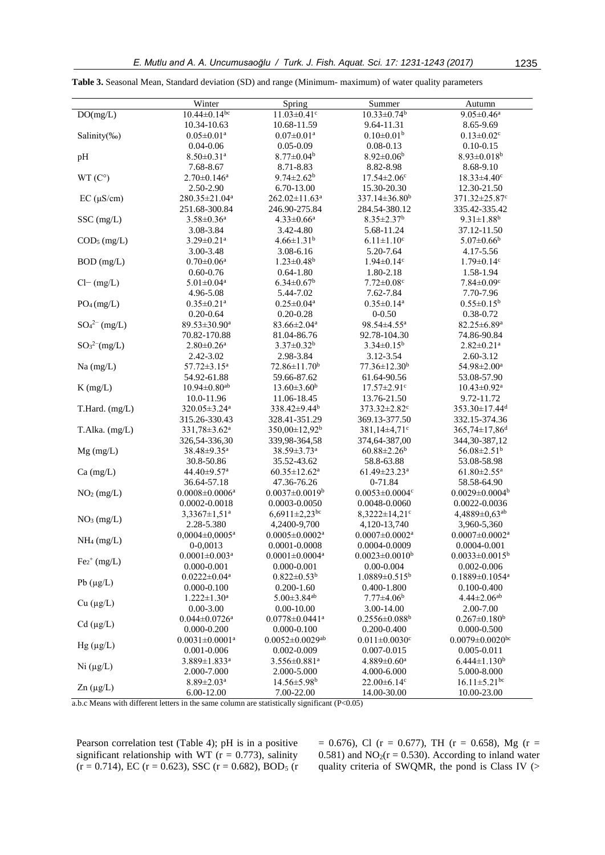|                         | Winter                           | Spring                            | Summer                           | Autumn                           |
|-------------------------|----------------------------------|-----------------------------------|----------------------------------|----------------------------------|
| DO(mg/L)                | $10.44 \pm 0.14$ <sup>bc</sup>   | $11.03 \pm 0.41$ c                | $10.33 \pm 0.74$ <sup>b</sup>    | $9.05 \pm 0.46^a$                |
|                         | 10.34-10.63                      | 10.68-11.59                       | 9.64-11.31                       | 8.65-9.69                        |
| Salinity(%o)            | $0.05 \pm 0.01$ <sup>a</sup>     | $0.07 \pm 0.01$ <sup>a</sup>      | $0.10 \pm 0.01$ <sup>b</sup>     | $0.13 \pm 0.02$ <sup>c</sup>     |
|                         | $0.04 - 0.06$                    | $0.05 - 0.09$                     | $0.08 - 0.13$                    | $0.10 - 0.15$                    |
| pH                      | $8.50 \pm 0.31$ <sup>a</sup>     | $8.77 \pm 0.04^b$                 | $8.92 \pm 0.06^b$                | $8.93 \pm 0.018^b$               |
|                         | 7.68-8.67                        | 8.71-8.83                         | 8.82-8.98                        | 8.68-9.10                        |
| WT(C°)                  | $2.70 \pm 0.146^a$               | $9.74 \pm 2.62^b$                 | $17.54 \pm 2.06$ c               | $18.33 \pm 4.40$ c               |
|                         | 2.50-2.90                        | 6.70-13.00                        | 15.30-20.30                      | 12.30-21.50                      |
| $EC (\mu S/cm)$         | 280.35±21.04 <sup>a</sup>        | 262.02±11.63 <sup>a</sup>         | 337.14±36.80 <sup>b</sup>        | 371.32±25.87°                    |
|                         | 251.68-300.84                    | 246.90-275.84                     | 284.54-380.12                    | 335.42-335.42                    |
| SSC (mg/L)              | $3.58 \pm 0.36$ <sup>a</sup>     | $4.33 \pm 0.66^a$                 | $8.35 \pm 2.37$ <sup>b</sup>     | $9.31 \pm 1.88$ <sup>b</sup>     |
|                         | 3.08-3.84                        | 3.42-4.80                         | 5.68-11.24                       | 37.12-11.50                      |
| COD <sub>5</sub> (mg/L) | $3.29 \pm 0.21$ <sup>a</sup>     | $4.66 \pm 1.31$ <sup>b</sup>      | $6.11 \pm 1.10$ <sup>c</sup>     | $5.07 \pm 0.66$ <sup>b</sup>     |
|                         | 3.00-3.48                        | 3.08-6.16                         | 5.20-7.64                        | 4.17-5.56                        |
| BOD (mg/L)              | $0.70 \pm 0.06^a$                | $1.23{\pm}0.48^{\mathrm{b}}$      | $1.94 \pm 0.14$ <sup>c</sup>     | $1.79 \pm 0.14$ c                |
|                         | $0.60 - 0.76$                    | $0.64 - 1.80$                     | 1.80-2.18                        | 1.58-1.94                        |
|                         |                                  |                                   |                                  |                                  |
| $Cl-$ (mg/L)            | $5.01 \pm 0.04$ <sup>a</sup>     | $6.34 \pm 0.67$ <sup>b</sup>      | $7.72 \pm 0.08$ c                | $7.84 \pm 0.09$ c                |
|                         | 4.96-5.08                        | 5.44-7.02                         | 7.62-7.84                        | 7.70-7.96                        |
| $PO_4$ (mg/L)           | $0.35 \pm 0.21$ <sup>a</sup>     | $0.25 \pm 0.04^a$                 | $0.35 \pm 0.14^a$                | $0.55 \pm 0.15^b$                |
|                         | $0.20 - 0.64$                    | $0.20 - 0.28$                     | $0 - 0.50$                       | 0.38-0.72                        |
| $SO_4^{2-}$ (mg/L)      | 89.53±30.90 <sup>a</sup>         | $83.66 \pm 2.04^a$                | 98.54±4.55 <sup>a</sup>          | 82.25±6.89 <sup>a</sup>          |
|                         | 70.82-170.88                     | 81.04-86.76                       | 92.78-104.30                     | 74.86-90.84                      |
| $SO_3^{2-}(mg/L)$       | $2.80 \pm 0.26$ <sup>a</sup>     | $3.37 \pm 0.32^b$                 | $3.34 \pm 0.15^b$                | $2.82 \pm 0.21$ <sup>a</sup>     |
|                         | 2.42-3.02                        | 2.98-3.84                         | 3.12-3.54                        | 2.60-3.12                        |
| $Na$ (mg/L)             | $57.72 \pm 3.15^a$               | $72.86 \pm 11.70^b$               | $77.36 \pm 12.30^b$              | 54.98±2.00 <sup>a</sup>          |
|                         | 54.92-61.88                      | 59.66-87.62                       | 61.64-90.56                      | 53.08-57.90                      |
| $K$ (mg/L)              | $10.94 \pm 0.80$ <sup>ab</sup>   | $13.60 \pm 3.60^b$                | $17.57 \pm 2.91$ c               | $10.43 \pm 0.92$ <sup>a</sup>    |
|                         | 10.0-11.96                       | 11.06-18.45                       | 13.76-21.50                      | 9.72-11.72                       |
| T.Hard. (mg/L)          | 320.05±3.24 <sup>a</sup>         | $338.42 \pm 9.44$ <sup>b</sup>    | 373.32±2.82 <sup>c</sup>         | $353.30 \pm 17.44$ <sup>d</sup>  |
|                         | 315.26-330.43                    | 328.41-351.29                     | 369.13-377.50                    | 332.15-374.36                    |
| T.Alka. (mg/L)          | 331,78±3.62 <sup>a</sup>         | $350,00 \pm 12,92^b$              | 381,14±4,71 <sup>c</sup>         | $365,74 \pm 17,86$ <sup>d</sup>  |
|                         | 326,54-336,30                    | 339,98-364,58                     | 374,64-387,00                    | 344, 30 - 387, 12                |
| $Mg$ (mg/L)             | 38.48±9.35 <sup>a</sup>          | 38.59±3.73 <sup>a</sup>           | $60.88 \pm 2.26^b$               | 56.08±2.51 <sup>b</sup>          |
|                         | 30.8-50.86                       | 35.52-43.62                       | 58.8-63.88                       | 53.08-58.98                      |
| $Ca$ (mg/L)             | 44.40±9.57 <sup>a</sup>          | $60.35 \pm 12.62^a$               | $61.49 \pm 23.23^a$              | $61.80 \pm 2.55$ <sup>a</sup>    |
|                         | 36.64-57.18                      | 47.36-76.26                       | 0-71.84                          | 58.58-64.90                      |
| NO <sub>2</sub> (mg/L)  | $0.0008 \pm 0.0006$ <sup>a</sup> | $0.0037 \pm 0.0019^b$             | $0.0053 \pm 0.0004$ c            | $0.0029 \pm 0.0004$ <sup>b</sup> |
|                         | $0.0002 - 0.0018$                | 0.0003-0.0050                     | 0.0048-0.0060                    | 0.0022-0.0036                    |
| NO <sub>3</sub> (mg/L)  | 3,3367±1,51 <sup>a</sup>         | $6,6911 \pm 2,23$ <sup>bc</sup>   | $8,3222 \pm 14,21$ °             | $4,4889 \pm 0,63^{ab}$           |
|                         | 2.28-5.380                       | 4,2400-9,700                      | 4,120-13,740                     | 3,960-5,360                      |
| $NH_4$ (mg/L)           | $0,0004 \pm 0,0005$ <sup>a</sup> | $0.0005 \pm 0.0002$ <sup>a</sup>  | $0.0007 \pm 0.0002$ <sup>a</sup> | $0.0007 \pm 0.0002$ <sup>a</sup> |
|                         | 0-0,0013                         | 0.0001-0.0008                     | 0.0004-0.0009                    | $0.0004 - 0.001$                 |
| $Fe2+ (mg/L)$           | $0.0001 \pm 0.003$ <sup>a</sup>  | $0.0001 \pm 0.0004$ <sup>a</sup>  | $0.0023 \pm 0.0010^b$            | $0.0033 \pm 0.0015^b$            |
|                         | $0.000 - 0.001$                  | $0.000 - 0.001$                   | $0.00 - 0.004$                   | $0.002 - 0.006$                  |
| $Pb(\mu g/L)$           | $0.0222 \pm 0.04$ <sup>a</sup>   | $0.822 \pm 0.53^b$                | $1.0889 \pm 0.515^b$             | $0.1889 \pm 0.1054$ <sup>a</sup> |
|                         | $0.000 - 0.100$                  | $0.200 - 1.60$                    | 0.400-1.800                      | $0.100 - 0.400$                  |
| Cu (µg/L)               | $1.222 \pm 1.30^a$               | $5.00 \pm 3.84$ <sup>ab</sup>     | $7.77 \pm 4.06^b$                | $4.44 \pm 2.06$ <sup>ab</sup>    |
|                         | $0.00 - 3.00$                    | $0.00 - 10.00$                    | 3.00-14.00                       | 2.00-7.00                        |
| $Cd$ ( $\mu g/L$ )      | $0.044 \pm 0.0726$ <sup>a</sup>  | $0.0778 \pm 0.0441$ <sup>a</sup>  | $0.2556 \pm 0.088$ <sup>b</sup>  | $0.267 \pm 0.180^b$              |
|                         | $0.000 - 0.200$                  | $0.000 - 0.100$                   | $0.200 - 0.400$                  | $0.000 - 0.500$                  |
|                         | $0.0031 \pm 0.0001$ <sup>a</sup> | $0.0052 \pm 0.0029$ <sup>ab</sup> | $0.011 \pm 0.0030$ <sup>c</sup>  | $0.0079 \pm 0.0020$ bc           |
| $Hg(\mu g/L)$           | $0.001 - 0.006$                  | $0.002 - 0.009$                   | $0.007 - 0.015$                  | $0.005 - 0.011$                  |
|                         | 3.889±1.833 <sup>a</sup>         | 3.556±0.881 <sup>a</sup>          | $4.889 \pm 0.60^a$               | $6.444 \pm 1.130$ <sup>b</sup>   |
| $Ni (\mu g/L)$          | 2.000-7.000                      | 2.000-5.000                       | 4.000-6.000                      | 5.000-8.000                      |
|                         | $8.89 \pm 2.03^{\text{a}}$       | $14.56 \pm 5.98$ <sup>b</sup>     | $22.00\pm6.14$ c                 | $16.11 \pm 5.21$ <sup>bc</sup>   |
| $Zn (\mu g/L)$          | 6.00-12.00                       | 7.00-22.00                        | 14.00-30.00                      | 10.00-23.00                      |

**Table 3.** Seasonal Mean, Standard deviation (SD) and range (Minimum- maximum) of water quality parameters

a.b.c Means with different letters in the same column are statistically significant (P<0.05)

Pearson correlation test (Table 4); pH is in a positive significant relationship with WT ( $r = 0.773$ ), salinity  $(r = 0.714)$ , EC  $(r = 0.623)$ , SSC  $(r = 0.682)$ , BOD<sub>5</sub>  $(r = 0.714)$   $= 0.676$ , Cl (r  $= 0.677$ ), TH (r  $= 0.658$ ), Mg (r  $=$ 0.581) and  $NO<sub>2</sub>(r = 0.530)$ . According to inland water quality criteria of SWQMR, the pond is Class IV (>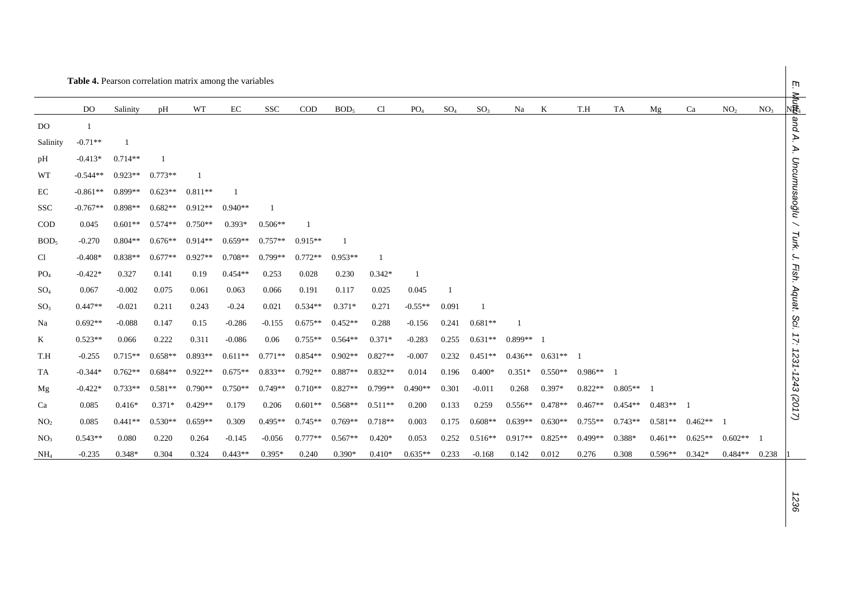|                  | Table 4. Pearson correlation matrix among the variables |           |           |           |           |            |           |                  |           |                 |                 |                 |           |           |           |           |           |           |                 |                 | 'n                |
|------------------|---------------------------------------------------------|-----------|-----------|-----------|-----------|------------|-----------|------------------|-----------|-----------------|-----------------|-----------------|-----------|-----------|-----------|-----------|-----------|-----------|-----------------|-----------------|-------------------|
|                  | DO                                                      | Salinity  | pH        | WT        | EC        | <b>SSC</b> | $\rm COD$ | BOD <sub>5</sub> | C1        | PO <sub>4</sub> | SO <sub>4</sub> | SO <sub>3</sub> | Na        | K         | T.H       | TA        | Mg        | Ca        | NO <sub>2</sub> | NO <sub>3</sub> | Vler<br>(韩        |
| DO               |                                                         |           |           |           |           |            |           |                  |           |                 |                 |                 |           |           |           |           |           |           |                 |                 | and A.            |
| Salinity         | $-0.71**$                                               |           |           |           |           |            |           |                  |           |                 |                 |                 |           |           |           |           |           |           |                 |                 |                   |
| pH               | $-0.413*$                                               | $0.714**$ |           |           |           |            |           |                  |           |                 |                 |                 |           |           |           |           |           |           |                 |                 | À.                |
| WT               | $-0.544**$                                              | $0.923**$ | $0.773**$ |           |           |            |           |                  |           |                 |                 |                 |           |           |           |           |           |           |                 |                 | Uncumusaoğlu      |
| EC               | $-0.861**$                                              | $0.899**$ | $0.623**$ | $0.811**$ |           |            |           |                  |           |                 |                 |                 |           |           |           |           |           |           |                 |                 |                   |
| <b>SSC</b>       | $-0.767**$                                              | $0.898**$ | $0.682**$ | $0.912**$ | $0.940**$ |            |           |                  |           |                 |                 |                 |           |           |           |           |           |           |                 |                 |                   |
| $\rm{COD}$       | 0.045                                                   | $0.601**$ | $0.574**$ | $0.750**$ | $0.393*$  | $0.506**$  |           |                  |           |                 |                 |                 |           |           |           |           |           |           |                 |                 |                   |
| BOD <sub>5</sub> | $-0.270$                                                | $0.804**$ | $0.676**$ | $0.914**$ | $0.659**$ | $0.757**$  | $0.915**$ |                  |           |                 |                 |                 |           |           |           |           |           |           |                 |                 | Turk. J.          |
| C <sub>1</sub>   | $-0.408*$                                               | $0.838**$ | $0.677**$ | $0.927**$ | $0.708**$ | $0.799**$  | $0.772**$ | $0.953**$        |           |                 |                 |                 |           |           |           |           |           |           |                 |                 |                   |
| PO <sub>4</sub>  | $-0.422*$                                               | 0.327     | 0.141     | 0.19      | $0.454**$ | 0.253      | 0.028     | 0.230            | $0.342*$  |                 |                 |                 |           |           |           |           |           |           |                 |                 | Fish. Aquat. Sci. |
| $SO_4$           | 0.067                                                   | $-0.002$  | 0.075     | 0.061     | 0.063     | 0.066      | 0.191     | 0.117            | 0.025     | 0.045           | $\mathbf{1}$    |                 |           |           |           |           |           |           |                 |                 |                   |
| SO <sub>3</sub>  | $0.447**$                                               | $-0.021$  | 0.211     | 0.243     | $-0.24$   | 0.021      | $0.534**$ | $0.371*$         | 0.271     | $-0.55**$       | 0.091           |                 |           |           |           |           |           |           |                 |                 |                   |
| Na               | $0.692**$                                               | $-0.088$  | 0.147     | 0.15      | $-0.286$  | $-0.155$   | $0.675**$ | $0.452**$        | 0.288     | $-0.156$        | 0.241           | $0.681**$       |           |           |           |           |           |           |                 |                 |                   |
| $\rm K$          | $0.523**$                                               | 0.066     | 0.222     | 0.311     | $-0.086$  | 0.06       | $0.755**$ | $0.564**$        | $0.371*$  | $-0.283$        | 0.255           | $0.631**$       | $0.899**$ |           |           |           |           |           |                 |                 | $\ddot{z}$        |
| T.H              | $-0.255$                                                | $0.715**$ | $0.658**$ | $0.893**$ | $0.611**$ | $0.771**$  | $0.854**$ | $0.902**$        | $0.827**$ | $-0.007$        | 0.232           | $0.451**$       | $0.436**$ | $0.631**$ |           |           |           |           |                 |                 |                   |
| TA               | $-0.344*$                                               | $0.762**$ | $0.684**$ | $0.922**$ | $0.675**$ | $0.833**$  | $0.792**$ | $0.887**$        | $0.832**$ | 0.014           | 0.196           | $0.400*$        | $0.351*$  | $0.550**$ | $0.986**$ |           |           |           |                 |                 |                   |
| Mg               | $-0.422*$                                               | $0.733**$ | $0.581**$ | $0.790**$ | $0.750**$ | $0.749**$  | $0.710**$ | $0.827**$        | $0.799**$ | $0.490**$       | 0.301           | $-0.011$        | 0.268     | 0.397*    | $0.822**$ | $0.805**$ |           |           |                 |                 |                   |
| Ca               | 0.085                                                   | $0.416*$  | $0.371*$  | $0.429**$ | 0.179     | 0.206      | $0.601**$ | $0.568**$        | $0.511**$ | 0.200           | 0.133           | 0.259           | $0.556**$ | $0.478**$ | $0.467**$ | $0.454**$ | $0.483**$ |           |                 |                 | 1231-1243 (2017)  |
| NO <sub>2</sub>  | 0.085                                                   | $0.441**$ | $0.530**$ | $0.659**$ | 0.309     | $0.495**$  | $0.745**$ | $0.769**$        | $0.718**$ | 0.003           | 0.175           | $0.608**$       | $0.639**$ | $0.630**$ | $0.755**$ | $0.743**$ | $0.581**$ | $0.462**$ |                 |                 |                   |
| NO <sub>3</sub>  | $0.543**$                                               | 0.080     | 0.220     | 0.264     | $-0.145$  | $-0.056$   | $0.777**$ | $0.567**$        | $0.420*$  | 0.053           | 0.252           | $0.516**$       | $0.917**$ | $0.825**$ | $0.499**$ | $0.388*$  | $0.461**$ | $0.625**$ | $0.602**$       |                 |                   |
| NH <sub>4</sub>  | $-0.235$                                                | $0.348*$  | 0.304     | 0.324     | $0.443**$ | $0.395*$   | 0.240     | 0.390*           | $0.410*$  | $0.635**$       | 0.233           | $-0.168$        | 0.142     | 0.012     | 0.276     | 0.308     | $0.596**$ | $0.342*$  | $0.484**$       | 0.238           |                   |

*1236*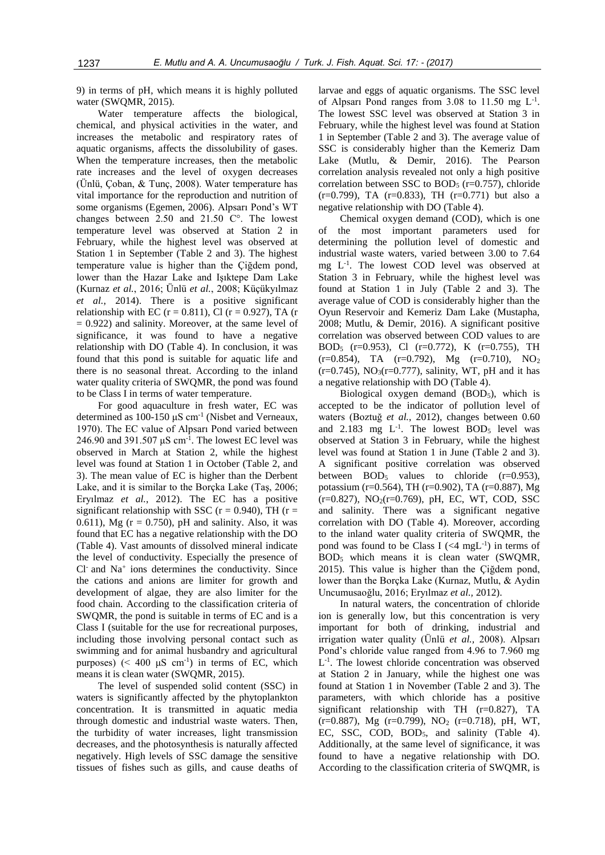9) in terms of pH, which means it is highly polluted water (SWQMR, 2015).

Water temperature affects the biological, chemical, and physical activities in the water, and increases the metabolic and respiratory rates of aquatic organisms, affects the dissolubility of gases. When the temperature increases, then the metabolic rate increases and the level of oxygen decreases (Ünlü, Çoban, & Tunç, 2008). Water temperature has vital importance for the reproduction and nutrition of some organisms (Egemen, 2006). Alpsarı Pond's WT changes between 2.50 and 21.50 C°. The lowest temperature level was observed at Station 2 in February, while the highest level was observed at Station 1 in September (Table 2 and 3). The highest temperature value is higher than the Çiğdem pond, lower than the Hazar Lake and Işıktepe Dam Lake (Kurnaz *et al.*, 2016; Ünlü *et al.*, 2008; Küçükyılmaz *et al.*, 2014). There is a positive significant relationship with EC ( $r = 0.811$ ), Cl ( $r = 0.927$ ), TA (r  $= 0.922$ ) and salinity. Moreover, at the same level of significance, it was found to have a negative relationship with DO (Table 4). In conclusion, it was found that this pond is suitable for aquatic life and there is no seasonal threat. According to the inland water quality criteria of SWQMR, the pond was found to be Class I in terms of water temperature.

For good aquaculture in fresh water, EC was determined as  $100-150 \mu S$  cm<sup>-1</sup> (Nisbet and Verneaux, 1970). The EC value of Alpsarı Pond varied between 246.90 and 391.507  $\mu$ S cm<sup>-1</sup>. The lowest EC level was observed in March at Station 2, while the highest level was found at Station 1 in October (Table 2, and 3). The mean value of EC is higher than the Derbent Lake, and it is similar to the Borçka Lake (Taş, 2006; Eryılmaz *et al.*, 2012). The EC has a positive significant relationship with SSC ( $r = 0.940$ ), TH ( $r =$ 0.611), Mg ( $r = 0.750$ ), pH and salinity. Also, it was found that EC has a negative relationship with the DO (Table 4). Vast amounts of dissolved mineral indicate the level of conductivity. Especially the presence of Cl<sup>-</sup> and Na<sup>+</sup> ions determines the conductivity. Since the cations and anions are limiter for growth and development of algae, they are also limiter for the food chain. According to the classification criteria of SWQMR, the pond is suitable in terms of EC and is a Class I (suitable for the use for recreational purposes, including those involving personal contact such as swimming and for animal husbandry and agricultural purposes)  $( $400 \mu S \text{ cm}^{-1}$ ) in terms of EC, which$ means it is clean water (SWQMR, 2015).

The level of suspended solid content (SSC) in waters is significantly affected by the phytoplankton concentration. It is transmitted in aquatic media through domestic and industrial waste waters. Then, the turbidity of water increases, light transmission decreases, and the photosynthesis is naturally affected negatively. High levels of SSC damage the sensitive tissues of fishes such as gills, and cause deaths of

larvae and eggs of aquatic organisms. The SSC level of Alpsarı Pond ranges from  $3.08$  to  $11.50$  mg  $L^{-1}$ . The lowest SSC level was observed at Station 3 in February, while the highest level was found at Station 1 in September (Table 2 and 3). The average value of SSC is considerably higher than the Kemeriz Dam Lake (Mutlu, & Demir, 2016). The Pearson correlation analysis revealed not only a high positive correlation between SSC to  $BOD<sub>5</sub>$  (r=0.757), chloride  $(r=0.799)$ , TA  $(r=0.833)$ , TH  $(r=0.771)$  but also a negative relationship with DO (Table 4).

Chemical oxygen demand (COD), which is one of the most important parameters used for determining the pollution level of domestic and industrial waste waters, varied between 3.00 to 7.64 mg L-1 . The lowest COD level was observed at Station 3 in February, while the highest level was found at Station 1 in July (Table 2 and 3). The average value of COD is considerably higher than the Oyun Reservoir and Kemeriz Dam Lake (Mustapha, 2008; Mutlu, & Demir, 2016). A significant positive correlation was observed between COD values to are BOD<sup>5</sup> (r=0.953), Cl (r=0.772), K (r=0.755), TH  $(r=0.854)$ , TA  $(r=0.792)$ , Mg  $(r=0.710)$ , NO<sub>2</sub>  $(r=0.745)$ , NO<sub>3</sub> $(r=0.777)$ , salinity, WT, pH and it has a negative relationship with DO (Table 4).

Biological oxygen demand (BOD<sub>5</sub>), which is accepted to be the indicator of pollution level of waters (Boztuğ *et al.*, 2012), changes between 0.60 and  $2.183$  mg  $L^{-1}$ . The lowest BOD<sub>5</sub> level was observed at Station 3 in February, while the highest level was found at Station 1 in June (Table 2 and 3). A significant positive correlation was observed between  $BOD_5$  values to chloride  $(r=0.953)$ , potassium (r=0.564), TH (r=0.902), TA (r=0.887), Mg  $(r=0.827)$ , NO<sub>2</sub> $(r=0.769)$ , pH, EC, WT, COD, SSC and salinity. There was a significant negative correlation with DO (Table 4). Moreover, according to the inland water quality criteria of SWQMR, the pond was found to be Class I  $( $4 \text{ mgL}^{-1}$ )$  in terms of BOD<sup>5</sup> which means it is clean water (SWQMR, 2015). This value is higher than the Çiğdem pond, lower than the Borçka Lake (Kurnaz, Mutlu, & Aydin Uncumusaoğlu, 2016; Eryılmaz *et al.,* 2012).

In natural waters, the concentration of chloride ion is generally low, but this concentration is very important for both of drinking, industrial and irrigation water quality (Ünlü *et al.,* 2008). Alpsarı Pond's chloride value ranged from 4.96 to 7.960 mg L -1 . The lowest chloride concentration was observed at Station 2 in January, while the highest one was found at Station 1 in November (Table 2 and 3). The parameters, with which chloride has a positive significant relationship with TH (r=0.827), TA  $(r=0.887)$ , Mg  $(r=0.799)$ , NO<sub>2</sub>  $(r=0.718)$ , pH, WT, EC, SSC, COD, BOD<sub>5</sub>, and salinity (Table 4). Additionally, at the same level of significance, it was found to have a negative relationship with DO. According to the classification criteria of SWQMR, is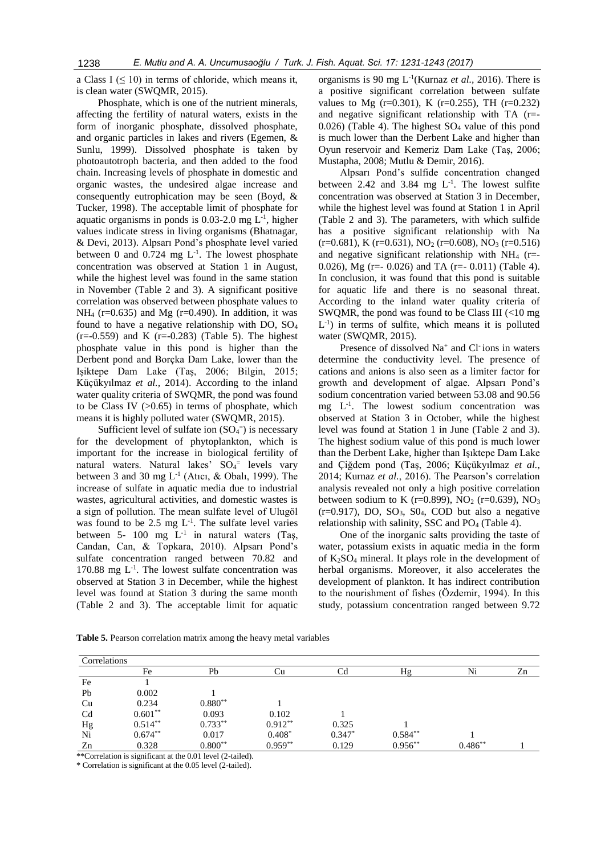a Class I  $( \leq 10)$  in terms of chloride, which means it, is clean water (SWQMR, 2015).

Phosphate, which is one of the nutrient minerals, affecting the fertility of natural waters, exists in the form of inorganic phosphate, dissolved phosphate, and organic particles in lakes and rivers (Egemen, & Sunlu, 1999). Dissolved phosphate is taken by photoautotroph bacteria, and then added to the food chain. Increasing levels of phosphate in domestic and organic wastes, the undesired algae increase and consequently eutrophication may be seen (Boyd, & Tucker, 1998). The acceptable limit of phosphate for aquatic organisms in ponds is  $0.03$ -2.0 mg  $L^{-1}$ , higher values indicate stress in living organisms (Bhatnagar, & Devi, 2013). Alpsarı Pond's phosphate level varied between 0 and 0.724 mg  $L^{-1}$ . The lowest phosphate concentration was observed at Station 1 in August, while the highest level was found in the same station in November (Table 2 and 3). A significant positive correlation was observed between phosphate values to  $NH<sub>4</sub>$  (r=0.635) and Mg (r=0.490). In addition, it was found to have a negative relationship with DO, SO<sup>4</sup>  $(r=-0.559)$  and K  $(r=-0.283)$  (Table 5). The highest phosphate value in this pond is higher than the Derbent pond and Borçka Dam Lake, lower than the Işiktepe Dam Lake (Taş, 2006; Bilgin, 2015; Küçükyılmaz *et al.,* 2014). According to the inland water quality criteria of SWQMR, the pond was found to be Class IV  $(0.65)$  in terms of phosphate, which means it is highly polluted water (SWQMR, 2015).

Sufficient level of sulfate ion  $(SO<sub>4</sub><sup>=</sup>)$  is necessary for the development of phytoplankton, which is important for the increase in biological fertility of natural waters. Natural lakes' SO<sub>4</sub><sup>=</sup> levels vary between 3 and 30 mg  $L^{-1}$  (Atıcı, & Obalı, 1999). The increase of sulfate in aquatic media due to industrial wastes, agricultural activities, and domestic wastes is a sign of pollution. The mean sulfate level of Ulugöl was found to be  $2.5 \text{ mg } L^{-1}$ . The sulfate level varies between 5- 100 mg  $L^{-1}$  in natural waters (Taş, Candan, Can, & Topkara, 2010). Alpsarı Pond's sulfate concentration ranged between 70.82 and 170.88 mg L<sup>-1</sup>. The lowest sulfate concentration was observed at Station 3 in December, while the highest level was found at Station 3 during the same month (Table 2 and 3). The acceptable limit for aquatic

organisms is 90 mg L-1 (Kurnaz *et al.,* 2016). There is a positive significant correlation between sulfate values to Mg  $(r=0.301)$ , K  $(r=0.255)$ , TH  $(r=0.232)$ and negative significant relationship with TA (r=-  $0.026$ ) (Table 4). The highest  $SO<sub>4</sub>$  value of this pond is much lower than the Derbent Lake and higher than Oyun reservoir and Kemeriz Dam Lake (Taş, 2006; Mustapha, 2008; Mutlu & Demir, 2016).

Alpsarı Pond's sulfide concentration changed between 2.42 and 3.84 mg  $L^{-1}$ . The lowest sulfite concentration was observed at Station 3 in December, while the highest level was found at Station 1 in April (Table 2 and 3). The parameters, with which sulfide has a positive significant relationship with Na  $(r=0.681)$ , K  $(r=0.631)$ , NO<sub>2</sub>  $(r=0.608)$ , NO<sub>3</sub>  $(r=0.516)$ and negative significant relationship with  $NH<sub>4</sub>$  (r=-0.026), Mg (r= $-$  0.026) and TA (r= $-$  0.011) (Table 4). In conclusion, it was found that this pond is suitable for aquatic life and there is no seasonal threat. According to the inland water quality criteria of SWQMR, the pond was found to be Class III (<10 mg  $L^{-1}$ ) in terms of sulfite, which means it is polluted water (SWQMR, 2015).

Presence of dissolved Na<sup>+</sup> and Cl<sup>-</sup>ions in waters determine the conductivity level. The presence of cations and anions is also seen as a limiter factor for growth and development of algae. Alpsarı Pond's sodium concentration varied between 53.08 and 90.56 mg L-1 . The lowest sodium concentration was observed at Station 3 in October, while the highest level was found at Station 1 in June (Table 2 and 3). The highest sodium value of this pond is much lower than the Derbent Lake, higher than Işıktepe Dam Lake and Çiğdem pond (Taş, 2006; Küçükyılmaz *et al.*, 2014; Kurnaz *et al.*, 2016). The Pearson's correlation analysis revealed not only a high positive correlation between sodium to K (r=0.899), NO<sub>2</sub> (r=0.639), NO<sub>3</sub>  $(r=0.917)$ , DO, SO<sub>3</sub>, S<sub>04</sub>, COD but also a negative relationship with salinity, SSC and  $PO<sub>4</sub>$  (Table 4).

One of the inorganic salts providing the taste of water, potassium exists in aquatic media in the form of  $K_2SO_4$  mineral. It plays role in the development of herbal organisms. Moreover, it also accelerates the development of plankton. It has indirect contribution to the nourishment of fishes (Özdemir, 1994). In this study, potassium concentration ranged between 9.72

| Correlations   |            |           |            |          |           |           |    |
|----------------|------------|-----------|------------|----------|-----------|-----------|----|
|                | Fe         | Pb        | Сū         |          | Hg        | Ni        | Zn |
| Fe             |            |           |            |          |           |           |    |
| Pb             | 0.002      |           |            |          |           |           |    |
| Cu             | 0.234      | $0.880**$ |            |          |           |           |    |
| C <sub>d</sub> | $0.601**$  | 0.093     | 0.102      |          |           |           |    |
| Hg             | $0.514***$ | $0.733**$ | $0.912***$ | 0.325    |           |           |    |
| Ni             | $0.674**$  | 0.017     | $0.408*$   | $0.347*$ | $0.584**$ |           |    |
| Zn             | 0.328      | $0.800**$ | $0.959**$  | 0.129    | $0.956**$ | $0.486**$ |    |

**Table 5.** Pearson correlation matrix among the heavy metal variables

\*\*Correlation is significant at the 0.01 level (2-tailed).

\* Correlation is significant at the 0.05 level (2-tailed).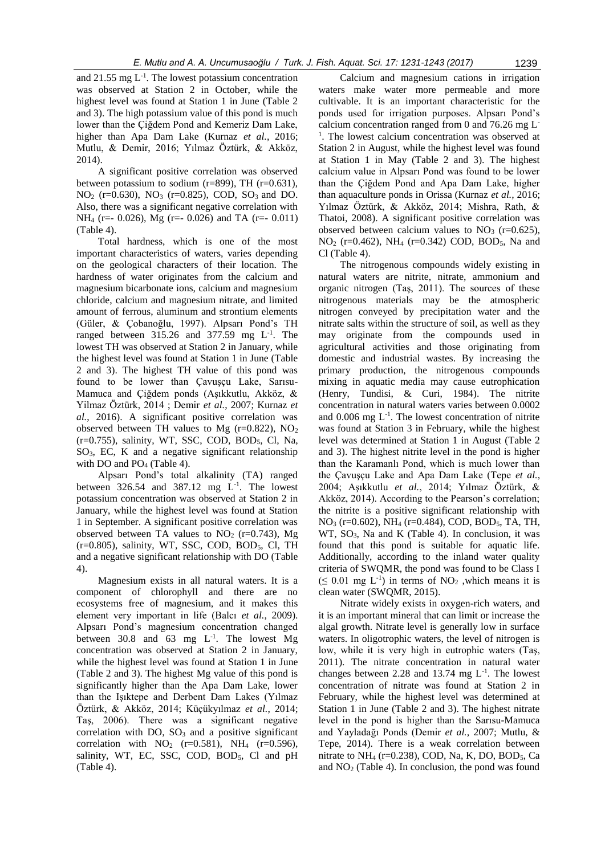and  $21.55$  mg  $L^{-1}$ . The lowest potassium concentration was observed at Station 2 in October, while the highest level was found at Station 1 in June (Table 2 and 3). The high potassium value of this pond is much lower than the Çiğdem Pond and Kemeriz Dam Lake, higher than Apa Dam Lake (Kurnaz *et al.*, 2016; Mutlu, & Demir, 2016; Yılmaz Öztürk, & Akköz, 2014).

A significant positive correlation was observed between potassium to sodium (r=899), TH (r=0.631), NO<sub>2</sub> (r=0.630), NO<sub>3</sub> (r=0.825), COD, SO<sub>3</sub> and DO. Also, there was a significant negative correlation with NH<sub>4</sub> (r=- 0.026), Mg (r=- 0.026) and TA (r=- 0.011) (Table 4).

Total hardness, which is one of the most important characteristics of waters, varies depending on the geological characters of their location. The hardness of water originates from the calcium and magnesium bicarbonate ions, calcium and magnesium chloride, calcium and magnesium nitrate, and limited amount of ferrous, aluminum and strontium elements (Güler, & Çobanoğlu, 1997). Alpsarı Pond's TH ranged between  $315.26$  and  $377.59$  mg  $L^{-1}$ . The lowest TH was observed at Station 2 in January, while the highest level was found at Station 1 in June (Table 2 and 3). The highest TH value of this pond was found to be lower than Çavuşçu Lake, Sarısu-Mamuca and Çiğdem ponds (Aşıkkutlu, Akköz, & Yilmaz Öztürk, 2014 ; Demir *et al.*, 2007; Kurnaz *et al.*, 2016). A significant positive correlation was observed between TH values to Mg ( $r=0.822$ ), NO<sub>2</sub>  $(r=0.755)$ , salinity, WT, SSC, COD, BOD<sub>5</sub>, Cl, Na, SO3, EC, K and a negative significant relationship with DO and  $PO<sub>4</sub>$  (Table 4).

Alpsarı Pond's total alkalinity (TA) ranged between  $326.54$  and  $387.12$  mg  $L^{-1}$ . The lowest potassium concentration was observed at Station 2 in January, while the highest level was found at Station 1 in September. A significant positive correlation was observed between TA values to  $NO<sub>2</sub>$  (r=0.743), Mg  $(r=0.805)$ , salinity, WT, SSC, COD, BOD<sub>5</sub>, Cl, TH and a negative significant relationship with DO (Table 4).

Magnesium exists in all natural waters. It is a component of chlorophyll and there are no ecosystems free of magnesium, and it makes this element very important in life (Balcı *et al.*, 2009). Alpsarı Pond's magnesium concentration changed between 30.8 and 63 mg  $L^{-1}$ . The lowest Mg concentration was observed at Station 2 in January, while the highest level was found at Station 1 in June (Table 2 and 3). The highest Mg value of this pond is significantly higher than the Apa Dam Lake, lower than the Işıktepe and Derbent Dam Lakes (Yılmaz Öztürk, & Akköz, 2014; Küçükyılmaz *et al.*, 2014; Taş, 2006). There was a significant negative correlation with DO,  $SO_3$  and a positive significant correlation with  $NO_2$  (r=0.581), NH<sub>4</sub> (r=0.596), salinity, WT, EC, SSC, COD, BOD $_5$ , Cl and pH (Table 4).

Calcium and magnesium cations in irrigation waters make water more permeable and more cultivable. It is an important characteristic for the ponds used for irrigation purposes. Alpsarı Pond's calcium concentration ranged from 0 and 76.26 mg L-<sup>1</sup>. The lowest calcium concentration was observed at Station 2 in August, while the highest level was found at Station 1 in May (Table 2 and 3). The highest calcium value in Alpsarı Pond was found to be lower than the Çiğdem Pond and Apa Dam Lake, higher than aquaculture ponds in Orissa (Kurnaz *et al.,* 2016; Yılmaz Öztürk, & Akköz, 2014; Mishra, Rath, & Thatoi, 2008). A significant positive correlation was observed between calcium values to  $NO<sub>3</sub>$  (r=0.625),  $NO<sub>2</sub>$  (r=0.462), NH<sub>4</sub> (r=0.342) COD, BOD<sub>5</sub>, Na and Cl (Table 4).

The nitrogenous compounds widely existing in natural waters are nitrite, nitrate, ammonium and organic nitrogen (Taş, 2011). The sources of these nitrogenous materials may be the atmospheric nitrogen conveyed by precipitation water and the nitrate salts within the structure of soil, as well as they may originate from the compounds used in agricultural activities and those originating from domestic and industrial wastes. By increasing the primary production, the nitrogenous compounds mixing in aquatic media may cause eutrophication (Henry, Tundisi, & Curi, 1984). The nitrite concentration in natural waters varies between 0.0002 and  $0.006$  mg  $L^{-1}$ . The lowest concentration of nitrite was found at Station 3 in February, while the highest level was determined at Station 1 in August (Table 2 and 3). The highest nitrite level in the pond is higher than the Karamanlı Pond, which is much lower than the Çavuşçu Lake and Apa Dam Lake (Tepe *et al.*, 2004; Aşıkkutlu *et al.*, 2014; Yılmaz Öztürk, & Akköz, 2014). According to the Pearson's correlation; the nitrite is a positive significant relationship with NO<sup>3</sup> (r=0.602), NH<sup>4</sup> (r=0.484), COD, BOD5, TA, TH, WT,  $SO_3$ , Na and K (Table 4). In conclusion, it was found that this pond is suitable for aquatic life. Additionally, according to the inland water quality criteria of SWQMR, the pond was found to be Class I  $(\leq 0.01$  mg L<sup>-1</sup>) in terms of NO<sub>2</sub>, which means it is clean water (SWQMR, 2015).

Nitrate widely exists in oxygen-rich waters, and it is an important mineral that can limit or increase the algal growth. Nitrate level is generally low in surface waters. In oligotrophic waters, the level of nitrogen is low, while it is very high in eutrophic waters (Taş, 2011). The nitrate concentration in natural water changes between 2.28 and 13.74 mg  $L^{-1}$ . The lowest concentration of nitrate was found at Station 2 in February, while the highest level was determined at Station 1 in June (Table 2 and 3). The highest nitrate level in the pond is higher than the Sarısu-Mamuca and Yayladağı Ponds (Demir *et al.,* 2007; Mutlu, & Tepe, 2014). There is a weak correlation between nitrate to  $NH_4$  (r=0.238), COD, Na, K, DO, BOD<sub>5</sub>, Ca and  $NO<sub>2</sub>$  (Table 4). In conclusion, the pond was found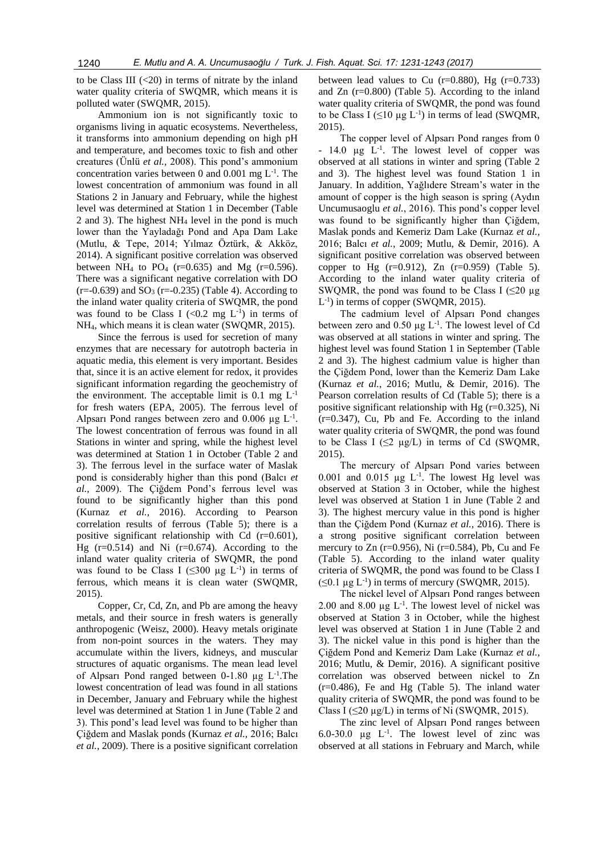to be Class III  $(<20)$  in terms of nitrate by the inland water quality criteria of SWQMR, which means it is polluted water (SWQMR, 2015).

Ammonium ion is not significantly toxic to organisms living in aquatic ecosystems. Nevertheless, it transforms into ammonium depending on high pH and temperature, and becomes toxic to fish and other creatures (Ünlü *et al.,* 2008). This pond's ammonium concentration varies between 0 and  $0.001$  mg  $L^{-1}$ . The lowest concentration of ammonium was found in all Stations 2 in January and February, while the highest level was determined at Station 1 in December (Table 2 and 3). The highest  $NH<sub>4</sub>$  level in the pond is much lower than the Yayladağı Pond and Apa Dam Lake (Mutlu, & Tepe, 2014; Yılmaz Öztürk, & Akköz, 2014). A significant positive correlation was observed between NH<sub>4</sub> to PO<sub>4</sub> (r=0.635) and Mg (r=0.596). There was a significant negative correlation with DO  $(r=-0.639)$  and  $SO_3(r=-0.235)$  (Table 4). According to the inland water quality criteria of SWQMR, the pond was found to be Class I  $( $0.2 \text{ mg } L^{-1}$ ) in terms of$ NH4, which means it is clean water (SWQMR, 2015).

Since the ferrous is used for secretion of many enzymes that are necessary for autotroph bacteria in aquatic media, this element is very important. Besides that, since it is an active element for redox, it provides significant information regarding the geochemistry of the environment. The acceptable limit is  $0.1 \text{ mg } L^{-1}$ for fresh waters (EPA, 2005). The ferrous level of Alpsarı Pond ranges between zero and  $0.006 \mu g L^{-1}$ . The lowest concentration of ferrous was found in all Stations in winter and spring, while the highest level was determined at Station 1 in October (Table 2 and 3). The ferrous level in the surface water of Maslak pond is considerably higher than this pond (Balcı *et al.,* 2009). The Çiğdem Pond's ferrous level was found to be significantly higher than this pond (Kurnaz *et al.,* 2016). According to Pearson correlation results of ferrous (Table 5); there is a positive significant relationship with Cd  $(r=0.601)$ , Hg  $(r=0.514)$  and Ni  $(r=0.674)$ . According to the inland water quality criteria of SWQMR, the pond was found to be Class I ( $\leq 300 \text{ µg } L^{-1}$ ) in terms of ferrous, which means it is clean water (SWQMR, 2015).

Copper, Cr, Cd, Zn, and Pb are among the heavy metals, and their source in fresh waters is generally anthropogenic (Weisz, 2000). Heavy metals originate from non-point sources in the waters. They may accumulate within the livers, kidneys, and muscular structures of aquatic organisms. The mean lead level of Alpsarı Pond ranged between  $0-1.80 \mu g L^{-1}$ . The lowest concentration of lead was found in all stations in December, January and February while the highest level was determined at Station 1 in June (Table 2 and 3). This pond's lead level was found to be higher than Çiğdem and Maslak ponds (Kurnaz *et al.,* 2016; Balcı *et al.*, 2009). There is a positive significant correlation

between lead values to Cu  $(r=0.880)$ , Hg  $(r=0.733)$ and Zn (r=0.800) (Table 5). According to the inland water quality criteria of SWQMR, the pond was found to be Class I  $(\leq 10 \mu g L^{-1})$  in terms of lead (SWQMR, 2015).

The copper level of Alpsarı Pond ranges from 0  $-14.0$  µg  $L^{-1}$ . The lowest level of copper was observed at all stations in winter and spring (Table 2 and 3). The highest level was found Station 1 in January. In addition, Yağlıdere Stream's water in the amount of copper is the high season is spring (Aydın Uncumusaoglu *et al.*, 2016). This pond's copper level was found to be significantly higher than Çiğdem, Maslak ponds and Kemeriz Dam Lake (Kurnaz *et al.,* 2016; Balcı *et al.,* 2009; Mutlu, & Demir, 2016). A significant positive correlation was observed between copper to Hg  $(r=0.912)$ , Zn  $(r=0.959)$  (Table 5). According to the inland water quality criteria of SWQMR, the pond was found to be Class I  $(\leq 20 \mu g)$ L<sup>-1</sup>) in terms of copper (SWQMR, 2015).

The cadmium level of Alpsarı Pond changes between zero and  $0.50 \mu g L^{-1}$ . The lowest level of Cd was observed at all stations in winter and spring. The highest level was found Station 1 in September (Table 2 and 3). The highest cadmium value is higher than the Çiğdem Pond, lower than the Kemeriz Dam Lake (Kurnaz *et al.*, 2016; Mutlu, & Demir, 2016). The Pearson correlation results of Cd (Table 5); there is a positive significant relationship with Hg  $(r=0.325)$ , Ni (r=0.347), Cu, Pb and Fe. According to the inland water quality criteria of SWQMR, the pond was found to be Class I ( $\leq$ 2 µg/L) in terms of Cd (SWQMR, 2015).

The mercury of Alpsarı Pond varies between 0.001 and 0.015  $\mu$ g L<sup>-1</sup>. The lowest Hg level was observed at Station 3 in October, while the highest level was observed at Station 1 in June (Table 2 and 3). The highest mercury value in this pond is higher than the Çiğdem Pond (Kurnaz *et al.*, 2016). There is a strong positive significant correlation between mercury to  $Zn$  (r=0.956), Ni (r=0.584), Pb, Cu and Fe (Table 5). According to the inland water quality criteria of SWQMR, the pond was found to be Class I  $(\leq 0.1 \,\mu g \, L^{-1})$  in terms of mercury (SWQMR, 2015).

The nickel level of Alpsarı Pond ranges between 2.00 and 8.00  $\mu$ g L<sup>-1</sup>. The lowest level of nickel was observed at Station 3 in October, while the highest level was observed at Station 1 in June (Table 2 and 3). The nickel value in this pond is higher than the Çiğdem Pond and Kemeriz Dam Lake (Kurnaz *et al.*, 2016; Mutlu, & Demir, 2016). A significant positive correlation was observed between nickel to Zn (r=0.486), Fe and Hg (Table 5). The inland water quality criteria of SWQMR, the pond was found to be Class I ( $\leq$ 20 µg/L) in terms of Ni (SWQMR, 2015).

The zinc level of Alpsarı Pond ranges between 6.0-30.0  $\mu$ g L<sup>-1</sup>. The lowest level of zinc was observed at all stations in February and March, while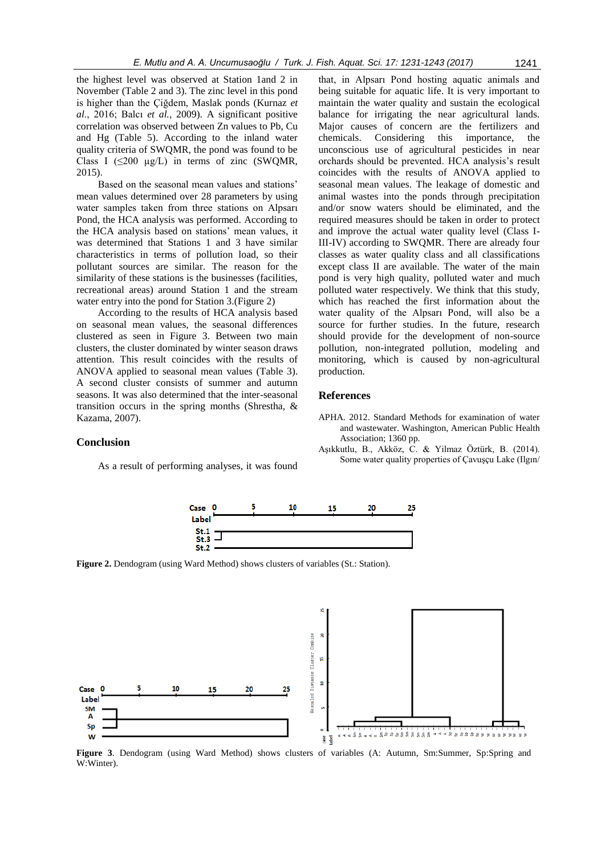the highest level was observed at Station 1and 2 in November (Table 2 and 3). The zinc level in this pond is higher than the Çiğdem, Maslak ponds (Kurnaz *et al*., 2016; Balcı *et al.,* 2009). A significant positive correlation was observed between Zn values to Pb, Cu and Hg (Table 5). According to the inland water quality criteria of SWQMR, the pond was found to be Class I ( $\leq$ 200 µg/L) in terms of zinc (SWQMR, 2015).

Based on the seasonal mean values and stations' mean values determined over 28 parameters by using water samples taken from three stations on Alpsarı Pond, the HCA analysis was performed. According to the HCA analysis based on stations' mean values, it was determined that Stations 1 and 3 have similar characteristics in terms of pollution load, so their pollutant sources are similar. The reason for the similarity of these stations is the businesses (facilities, recreational areas) around Station 1 and the stream water entry into the pond for Station 3.(Figure 2)

According to the results of HCA analysis based on seasonal mean values, the seasonal differences clustered as seen in Figure 3. Between two main clusters, the cluster dominated by winter season draws attention. This result coincides with the results of ANOVA applied to seasonal mean values (Table 3). A second cluster consists of summer and autumn seasons. It was also determined that the inter-seasonal transition occurs in the spring months (Shrestha, & Kazama, 2007).

that, in Alpsarı Pond hosting aquatic animals and being suitable for aquatic life. It is very important to maintain the water quality and sustain the ecological balance for irrigating the near agricultural lands. Major causes of concern are the fertilizers and chemicals. Considering this importance, the unconscious use of agricultural pesticides in near orchards should be prevented. HCA analysis's result coincides with the results of ANOVA applied to seasonal mean values. The leakage of domestic and animal wastes into the ponds through precipitation and/or snow waters should be eliminated, and the required measures should be taken in order to protect and improve the actual water quality level (Class I-III-IV) according to SWQMR. There are already four classes as water quality class and all classifications except class II are available. The water of the main pond is very high quality, polluted water and much polluted water respectively. We think that this study, which has reached the first information about the water quality of the Alpsarı Pond, will also be a source for further studies. In the future, research should provide for the development of non-source pollution, non-integrated pollution, modeling and monitoring, which is caused by non-agricultural production.

#### **References**

# **Conclusion**

As a result of performing analyses, it was found

- APHA. 2012. Standard Methods for examination of water and wastewater. Washington, American Public Health Association; 1360 pp.
- Aşıkkutlu, B., Akköz, C. & Yilmaz Öztürk, B. (2014). Some water quality properties of Çavuşçu Lake (Ilgın/



**Figure 2.** Dendogram (using Ward Method) shows clusters of variables (St.: Station).



**Figure 3**. Dendogram (using Ward Method) shows clusters of variables (A: Autumn, Sm:Summer, Sp:Spring and W:Winter).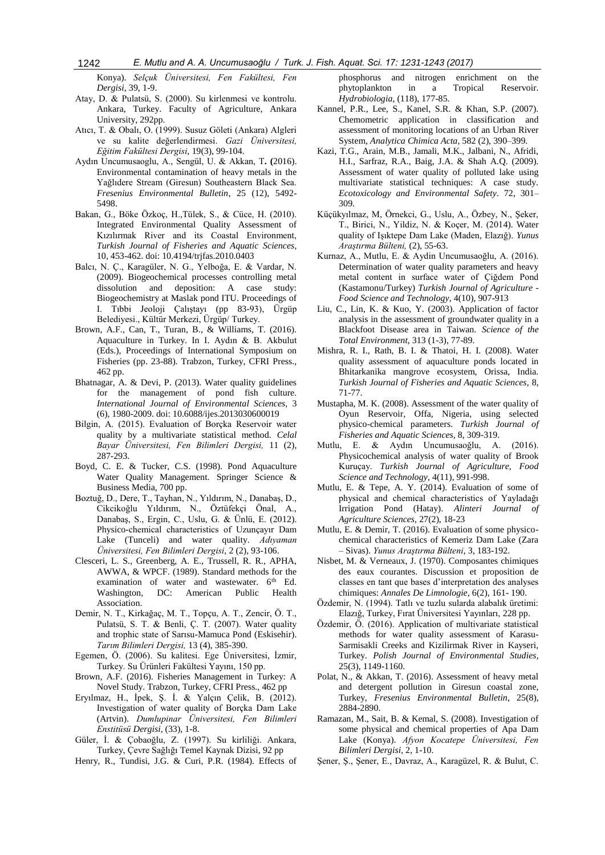Konya). *Selçuk Üniversitesi, Fen Fakültesi, Fen Dergisi*, 39, 1-9.

- Atay, D. & Pulatsü, S. (2000). Su kirlenmesi ve kontrolu. Ankara, Turkey. Faculty of Agriculture, Ankara University, 292pp.
- Atıcı, T. & Obalı, O. (1999). Susuz Göleti (Ankara) Algleri ve su kalite değerlendirmesi. *Gazi Üniversitesi, Eğitim Fakültesi Dergisi*, 19(3), 99-104.
- Aydın Uncumusaoglu, A., Sengül, U. & Akkan, T**. (**2016). Environmental contamination of heavy metals in the Yağlıdere Stream (Giresun) Southeastern Black Sea. *Fresenius Environmental Bulletin*, 25 (12), 5492- 5498.
- Bakan, G., Böke Özkoç, H.,Tülek, S., & Cüce, H. (2010). Integrated Environmental Quality Assessment of Kızılırmak River and its Coastal Environment, *Turkish Journal of Fisheries and Aquatic Sciences*, 10, 453-462. doi: 10.4194/trjfas.2010.0403
- Balcı, N. Ç., Karagüler, N. G., Yelboğa, E. & Vardar, N. (2009). Biogeochemical processes controlling metal dissolution and deposition: A case study: Biogeochemistry at Maslak pond ITU. Proceedings of I. Tıbbi Jeoloji Çalıştayı (pp 83-93), Ürgüp Belediyesi., Kültür Merkezi, Ürgüp/ Turkey.
- Brown, A.F., Can, T., Turan, B., & Williams, T. (2016). Aquaculture in Turkey. In I. Aydın & B. Akbulut (Eds.), Proceedings of International Symposium on Fisheries (pp. 23-88). Trabzon, Turkey, CFRI Press., 462 pp.
- Bhatnagar, A. & Devi, P. (2013). Water quality guidelines for the management of pond fish culture. *International Journal of Environmental Sciences*, 3 (6), 1980-2009. doi: 10.6088/ijes.2013030600019
- Bilgin, A. (2015). Evaluation of Borçka Reservoir water quality by a multivariate statistical method. *Celal Bayar Üniversitesi, Fen Bilimleri Dergisi,* 11 (2), 287-293.
- Boyd, C. E. & Tucker, C.S. (1998). Pond Aquaculture Water Quality Management. Springer Science & Business Media, 700 pp.
- Boztuğ, D., Dere, T., Tayhan, N., Yıldırım, N., Danabaş, D., Cikcikoğlu Yıldırım, N., Öztüfekçi Önal, A., Danabaş, S., Ergin, C., Uslu, G. & Ünlü, E. (2012). Physico-chemical characteristics of Uzunçayır Dam Lake (Tunceli) and water quality. *Adıyaman Üniversitesi, Fen Bilimleri Dergisi*, 2 (2), 93-106.
- Clesceri, L. S., Greenberg, A. E., Trussell, R. R., APHA, AWWA, & WPCF. (1989). Standard methods for the examination of water and wastewater. 6<sup>th</sup> Ed. Washington, DC: American Public Health Association.
- Demir, N. T., Kirkağaç, M. T., Topçu, A. T., Zencir, Ö. T., Pulatsü, S. T. & Benli, Ç. T. (2007). Water quality and trophic state of Sarısu-Mamuca Pond (Eskisehir). *Tarım Bilimleri Dergisi,* 13 (4), 385-390.
- Egemen, Ö. (2006). Su kalitesi. Ege Üniversitesi, İzmir, Turkey. Su Ürünleri Fakültesi Yayını, 150 pp.
- Brown, A.F. (2016). Fisheries Management in Turkey: A Novel Study. Trabzon, Turkey, CFRI Press., 462 pp
- Eryılmaz, H., İpek, Ş. İ. & Yalçın Çelik, B. (2012). Investigation of water quality of Borçka Dam Lake (Artvin). *Dumlupinar Üniversitesi, Fen Bilimleri Enstitüsü Dergisi*, (33), 1-8.
- Güler, İ. & Çobaoğlu, Z. (1997). Su kirliliği. Ankara, Turkey, Çevre Sağlığı Temel Kaynak Dizisi, 92 pp

Henry, R., Tundisi, J.G. & Curi, P.R. (1984). Effects of

phosphorus and nitrogen enrichment on the phytoplankton in a Tropical Reservoir. *Hydrobiologia*, (118), 177-85.

- Kannel, P.R., Lee, S., Kanel, S.R. & Khan, S.P. (2007). Chemometric application in classification and assessment of monitoring locations of an Urban River System, *Analytica Chimica Acta,* 582 (2), 390–399.
- Kazi, T.G., Arain, M.B., Jamali, M.K., Jalbani, N., Afridi, H.I., Sarfraz, R.A., Baig, J.A. & Shah A.Q. (2009). Assessment of water quality of polluted lake using multivariate statistical techniques: A case study. *Ecotoxicology and Environmental Safety*. 72, 301– 309.
- Küçükyılmaz, M, Örnekci, G., Uslu, A., Özbey, N., Şeker, T., Birici, N., Yildiz, N. & Koçer, M. (2014). Water quality of Işıktepe Dam Lake (Maden, Elazığ). *Yunus Araştırma Bülteni,* (2), 55-63.
- Kurnaz, A., Mutlu, E. & Aydin Uncumusaoğlu, A. (2016). Determination of water quality parameters and heavy metal content in surface water of Çiğdem Pond (Kastamonu/Turkey) *Turkish Journal of Agriculture - Food Science and Technology*, 4(10), 907-913
- Liu, C., Lin, K. & Kuo, Y. (2003). Application of factor analysis in the assessment of groundwater quality in a Blackfoot Disease area in Taiwan. *Science of the Total Environment*, 313 (1-3), 77-89.
- Mishra, R. I., Rath, B. I. & Thatoi, H. I. (2008). Water quality assessment of aquaculture ponds located in Bhitarkanika mangrove ecosystem, Orissa, India. *Turkish Journal of Fisheries and Aquatic Sciences*, 8, 71-77.
- Mustapha, M. K. (2008). Assessment of the water quality of Oyun Reservoir, Offa, Nigeria, using selected physico-chemical parameters. *Turkish Journal of Fisheries and Aquatic Sciences,* 8, 309-319.
- Mutlu, E. & Aydın Uncumusaoğlu, A. (2016). Physicochemical analysis of water quality of Brook Kuruçay. *Turkish Journal of Agriculture, Food Science and Technology*, 4(11), 991-998.
- Mutlu, E. & Tepe, A. Y. (2014). Evaluation of some of physical and chemical characteristics of Yayladağı Irrigation Pond (Hatay). *Alinteri Journal of Agriculture Sciences*, 27(2), 18-23
- Mutlu, E. & Demir, T. (2016). Evaluation of some physicochemical characteristics of Kemeriz Dam Lake (Zara – Sivas). *Yunus Araştırma Bülteni*, 3, 183-192.
- Nisbet, M. & Verneaux, J. (1970). Composantes chimiques des eaux courantes. Discussion et proposition de classes en tant que bases d'interpretation des analyses chimiques: *Annales De Limnologie*, 6(2), 161- 190.
- Özdemir, N. (1994). Tatlı ve tuzlu sularda alabalık üretimi: Elazığ, Turkey, Fırat Üniversitesi Yayınları, 228 pp.
- Özdemir, Ö. (2016). Application of multivariate statistical methods for water quality assessment of Karasu-Sarmisakli Creeks and Kizilirmak River in Kayseri, Turkey. *Polish Journal of Environmental Studies*, 25(3), 1149-1160.
- Polat, N., & Akkan, T. (2016). Assessment of heavy metal and detergent pollution in Giresun coastal zone, Turkey, *Fresenius Environmental Bulletin*, 25(8), 2884-2890.
- Ramazan, M., Sait, B. & Kemal, S. (2008). Investigation of some physical and chemical properties of Apa Dam Lake (Konya). *Afyon Kocatepe Üniversitesi, Fen Bilimleri Dergisi*, 2, 1-10.
- Şener, Ş., Şener, E., Davraz, A., Karagüzel, R. & Bulut, C.